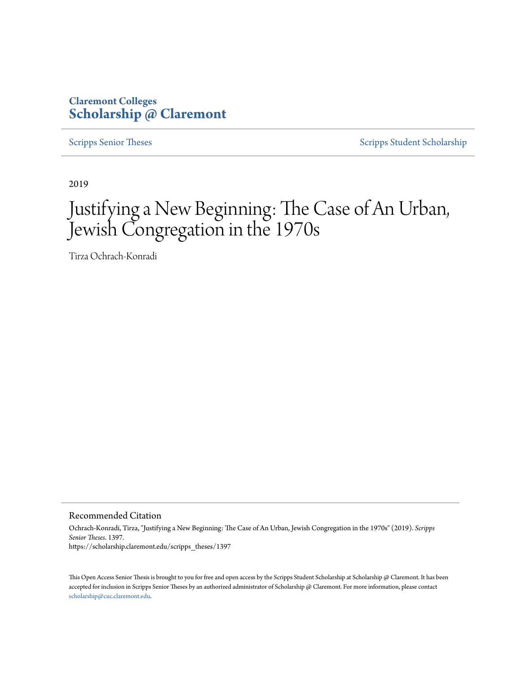# **Claremont Colleges [Scholarship @ Claremont](https://scholarship.claremont.edu)**

[Scripps Senior Theses](https://scholarship.claremont.edu/scripps_theses) [Scripps Student Scholarship](https://scholarship.claremont.edu/scripps_student)

2019

# Justifying a New Beginning: The Case of An Urban, Jewish Congregation in the 1970s

Tirza Ochrach-Konradi

Recommended Citation

Ochrach-Konradi, Tirza, "Justifying a New Beginning: The Case of An Urban, Jewish Congregation in the 1970s" (2019). *Scripps Senior Theses*. 1397. https://scholarship.claremont.edu/scripps\_theses/1397

This Open Access Senior Thesis is brought to you for free and open access by the Scripps Student Scholarship at Scholarship @ Claremont. It has been accepted for inclusion in Scripps Senior Theses by an authorized administrator of Scholarship @ Claremont. For more information, please contact [scholarship@cuc.claremont.edu.](mailto:scholarship@cuc.claremont.edu)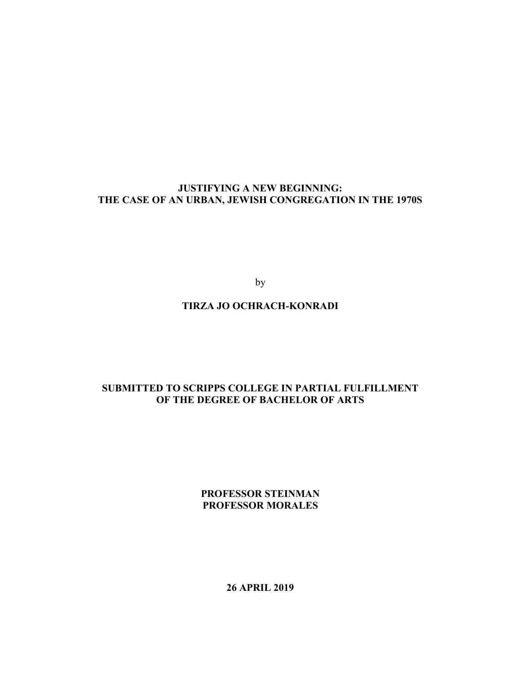# **JUSTIFYING A NEW BEGINNING: THE CASE OF AN URBAN, JEWISH CONGREGATION IN THE 1970S**

by

# **TIRZA JO OCHRACH-KONRADI**

# **SUBMITTED TO SCRIPPS COLLEGE IN PARTIAL FULFILLMENT OF THE DEGREE OF BACHELOR OF ARTS**

**PROFESSOR STEINMAN PROFESSOR MORALES**

**26 APRIL 2019**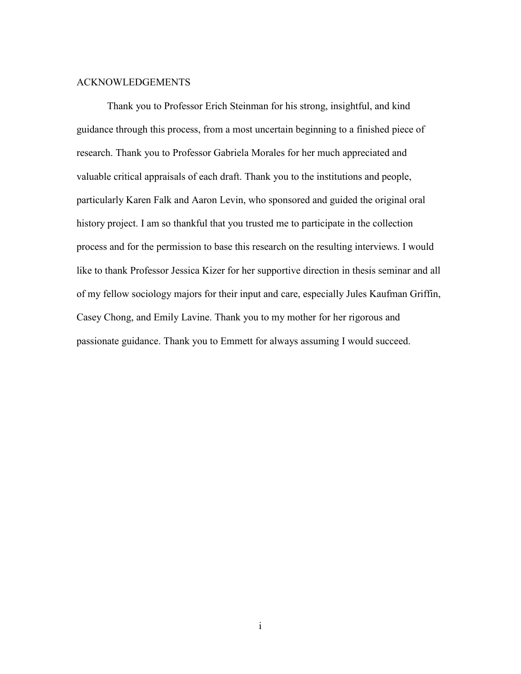## ACKNOWLEDGEMENTS

Thank you to Professor Erich Steinman for his strong, insightful, and kind guidance through this process, from a most uncertain beginning to a finished piece of research. Thank you to Professor Gabriela Morales for her much appreciated and valuable critical appraisals of each draft. Thank you to the institutions and people, particularly Karen Falk and Aaron Levin, who sponsored and guided the original oral history project. I am so thankful that you trusted me to participate in the collection process and for the permission to base this research on the resulting interviews. I would like to thank Professor Jessica Kizer for her supportive direction in thesis seminar and all of my fellow sociology majors for their input and care, especially Jules Kaufman Griffin, Casey Chong, and Emily Lavine. Thank you to my mother for her rigorous and passionate guidance. Thank you to Emmett for always assuming I would succeed.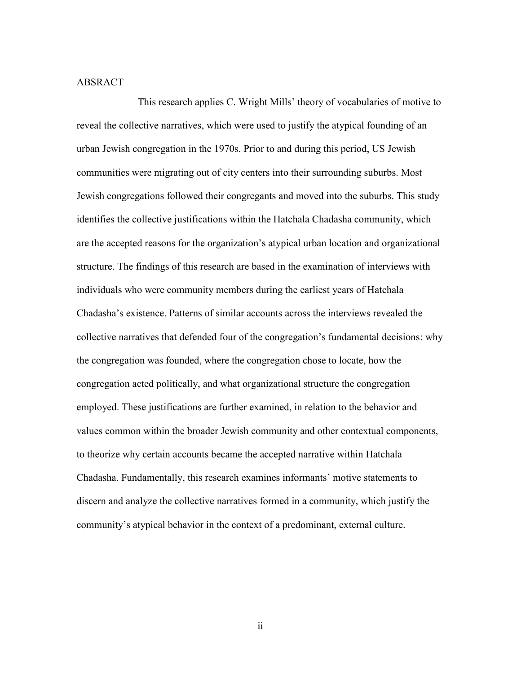# ABSRACT

This research applies C. Wright Mills' theory of vocabularies of motive to reveal the collective narratives, which were used to justify the atypical founding of an urban Jewish congregation in the 1970s. Prior to and during this period, US Jewish communities were migrating out of city centers into their surrounding suburbs. Most Jewish congregations followed their congregants and moved into the suburbs. This study identifies the collective justifications within the Hatchala Chadasha community, which are the accepted reasons for the organization's atypical urban location and organizational structure. The findings of this research are based in the examination of interviews with individuals who were community members during the earliest years of Hatchala Chadasha's existence. Patterns of similar accounts across the interviews revealed the collective narratives that defended four of the congregation's fundamental decisions: why the congregation was founded, where the congregation chose to locate, how the congregation acted politically, and what organizational structure the congregation employed. These justifications are further examined, in relation to the behavior and values common within the broader Jewish community and other contextual components, to theorize why certain accounts became the accepted narrative within Hatchala Chadasha. Fundamentally, this research examines informants' motive statements to discern and analyze the collective narratives formed in a community, which justify the community's atypical behavior in the context of a predominant, external culture.

ii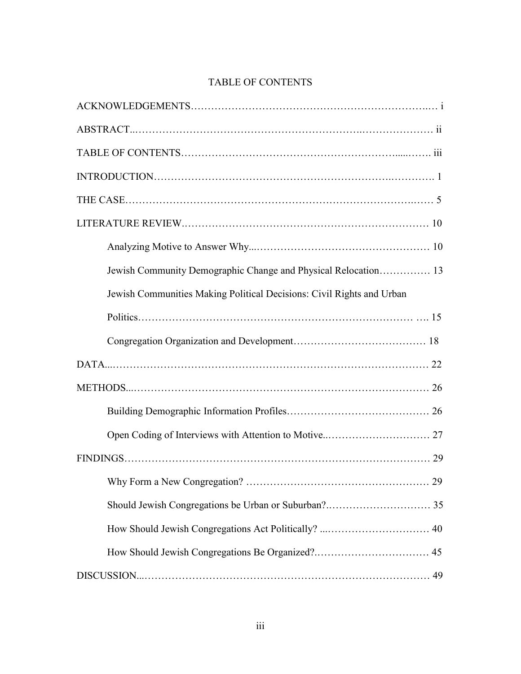# TABLE OF CONTENTS

| Jewish Communities Making Political Decisions: Civil Rights and Urban |
|-----------------------------------------------------------------------|
|                                                                       |
|                                                                       |
|                                                                       |
|                                                                       |
|                                                                       |
|                                                                       |
|                                                                       |
|                                                                       |
|                                                                       |
|                                                                       |
|                                                                       |
|                                                                       |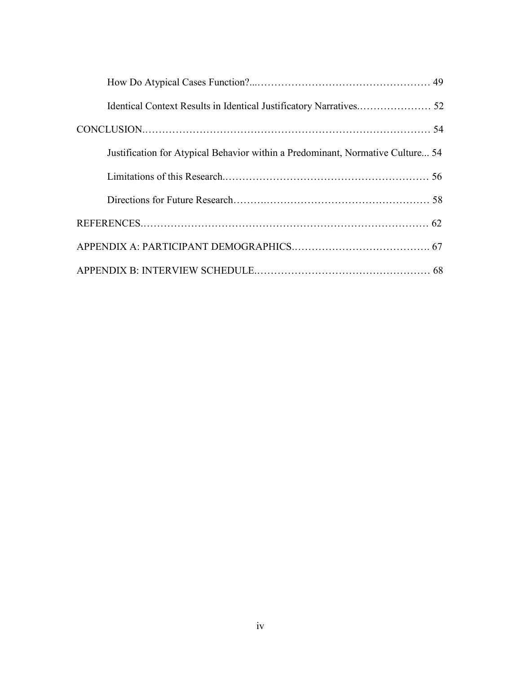| Justification for Atypical Behavior within a Predominant, Normative Culture 54 |  |
|--------------------------------------------------------------------------------|--|
|                                                                                |  |
|                                                                                |  |
|                                                                                |  |
|                                                                                |  |
|                                                                                |  |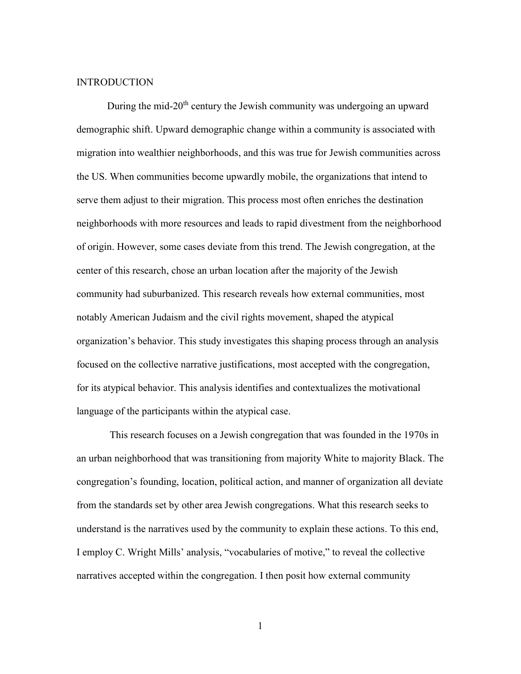## **INTRODUCTION**

During the mid-20<sup>th</sup> century the Jewish community was undergoing an upward demographic shift. Upward demographic change within a community is associated with migration into wealthier neighborhoods, and this was true for Jewish communities across the US. When communities become upwardly mobile, the organizations that intend to serve them adjust to their migration. This process most often enriches the destination neighborhoods with more resources and leads to rapid divestment from the neighborhood of origin. However, some cases deviate from this trend. The Jewish congregation, at the center of this research, chose an urban location after the majority of the Jewish community had suburbanized. This research reveals how external communities, most notably American Judaism and the civil rights movement, shaped the atypical organization's behavior. This study investigates this shaping process through an analysis focused on the collective narrative justifications, most accepted with the congregation, for its atypical behavior. This analysis identifies and contextualizes the motivational language of the participants within the atypical case.

This research focuses on a Jewish congregation that was founded in the 1970s in an urban neighborhood that was transitioning from majority White to majority Black. The congregation's founding, location, political action, and manner of organization all deviate from the standards set by other area Jewish congregations. What this research seeks to understand is the narratives used by the community to explain these actions. To this end, I employ C. Wright Mills' analysis, "vocabularies of motive," to reveal the collective narratives accepted within the congregation. I then posit how external community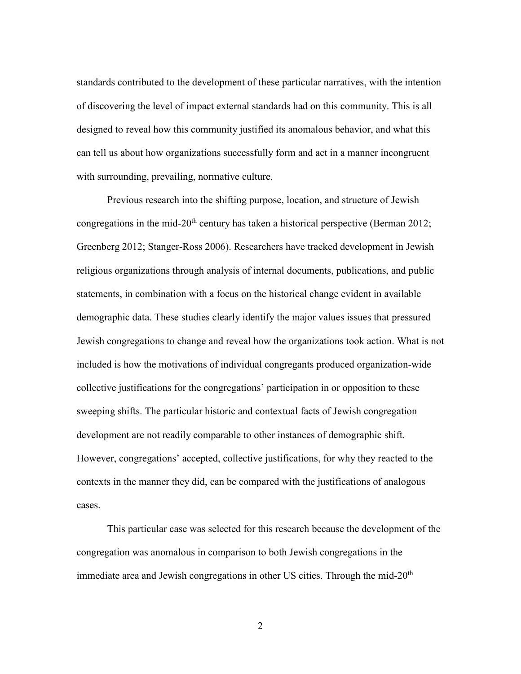standards contributed to the development of these particular narratives, with the intention of discovering the level of impact external standards had on this community. This is all designed to reveal how this community justified its anomalous behavior, and what this can tell us about how organizations successfully form and act in a manner incongruent with surrounding, prevailing, normative culture.

Previous research into the shifting purpose, location, and structure of Jewish congregations in the mid-20<sup>th</sup> century has taken a historical perspective (Berman 2012; Greenberg 2012; Stanger-Ross 2006). Researchers have tracked development in Jewish religious organizations through analysis of internal documents, publications, and public statements, in combination with a focus on the historical change evident in available demographic data. These studies clearly identify the major values issues that pressured Jewish congregations to change and reveal how the organizations took action. What is not included is how the motivations of individual congregants produced organization-wide collective justifications for the congregations' participation in or opposition to these sweeping shifts. The particular historic and contextual facts of Jewish congregation development are not readily comparable to other instances of demographic shift. However, congregations' accepted, collective justifications, for why they reacted to the contexts in the manner they did, can be compared with the justifications of analogous cases.

This particular case was selected for this research because the development of the congregation was anomalous in comparison to both Jewish congregations in the immediate area and Jewish congregations in other US cities. Through the mid- $20<sup>th</sup>$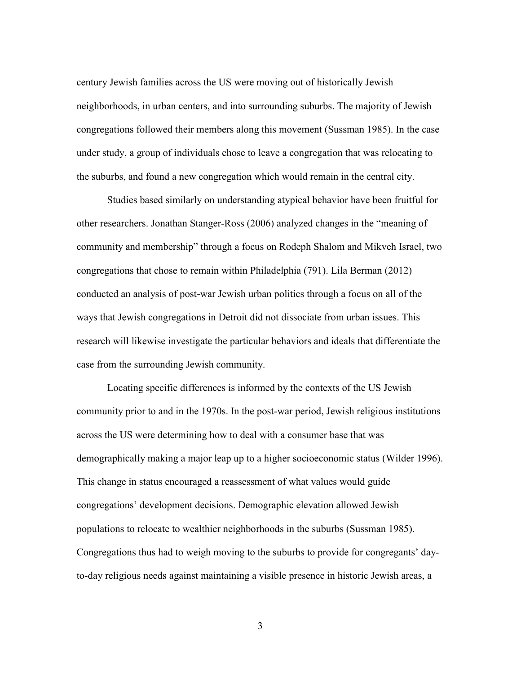century Jewish families across the US were moving out of historically Jewish neighborhoods, in urban centers, and into surrounding suburbs. The majority of Jewish congregations followed their members along this movement (Sussman 1985). In the case under study, a group of individuals chose to leave a congregation that was relocating to the suburbs, and found a new congregation which would remain in the central city.

Studies based similarly on understanding atypical behavior have been fruitful for other researchers. Jonathan Stanger-Ross (2006) analyzed changes in the "meaning of community and membership" through a focus on Rodeph Shalom and Mikveh Israel, two congregations that chose to remain within Philadelphia (791). Lila Berman (2012) conducted an analysis of post-war Jewish urban politics through a focus on all of the ways that Jewish congregations in Detroit did not dissociate from urban issues. This research will likewise investigate the particular behaviors and ideals that differentiate the case from the surrounding Jewish community.

Locating specific differences is informed by the contexts of the US Jewish community prior to and in the 1970s. In the post-war period, Jewish religious institutions across the US were determining how to deal with a consumer base that was demographically making a major leap up to a higher socioeconomic status (Wilder 1996). This change in status encouraged a reassessment of what values would guide congregations' development decisions. Demographic elevation allowed Jewish populations to relocate to wealthier neighborhoods in the suburbs (Sussman 1985). Congregations thus had to weigh moving to the suburbs to provide for congregants' dayto-day religious needs against maintaining a visible presence in historic Jewish areas, a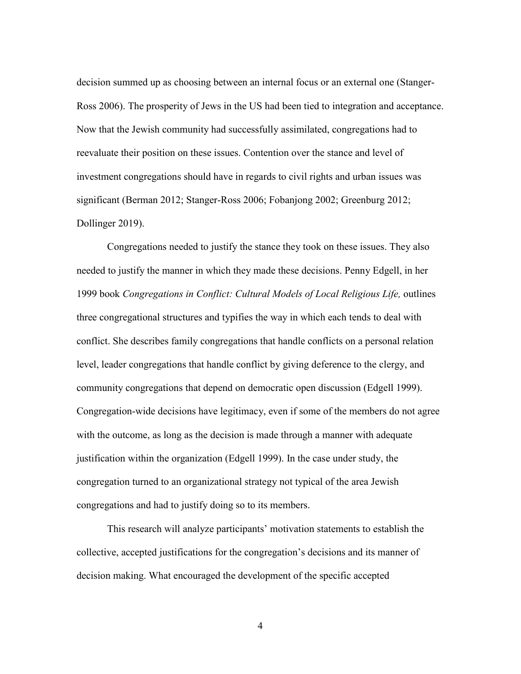decision summed up as choosing between an internal focus or an external one (Stanger-Ross 2006). The prosperity of Jews in the US had been tied to integration and acceptance. Now that the Jewish community had successfully assimilated, congregations had to reevaluate their position on these issues. Contention over the stance and level of investment congregations should have in regards to civil rights and urban issues was significant (Berman 2012; Stanger-Ross 2006; Fobanjong 2002; Greenburg 2012; Dollinger 2019).

Congregations needed to justify the stance they took on these issues. They also needed to justify the manner in which they made these decisions. Penny Edgell, in her 1999 book *Congregations in Conflict: Cultural Models of Local Religious Life,* outlines three congregational structures and typifies the way in which each tends to deal with conflict. She describes family congregations that handle conflicts on a personal relation level, leader congregations that handle conflict by giving deference to the clergy, and community congregations that depend on democratic open discussion (Edgell 1999). Congregation-wide decisions have legitimacy, even if some of the members do not agree with the outcome, as long as the decision is made through a manner with adequate justification within the organization (Edgell 1999). In the case under study, the congregation turned to an organizational strategy not typical of the area Jewish congregations and had to justify doing so to its members.

This research will analyze participants' motivation statements to establish the collective, accepted justifications for the congregation's decisions and its manner of decision making. What encouraged the development of the specific accepted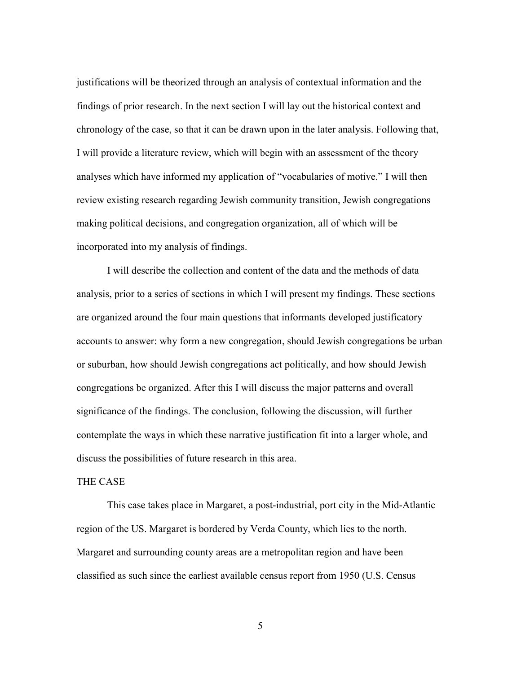justifications will be theorized through an analysis of contextual information and the findings of prior research. In the next section I will lay out the historical context and chronology of the case, so that it can be drawn upon in the later analysis. Following that, I will provide a literature review, which will begin with an assessment of the theory analyses which have informed my application of "vocabularies of motive." I will then review existing research regarding Jewish community transition, Jewish congregations making political decisions, and congregation organization, all of which will be incorporated into my analysis of findings.

I will describe the collection and content of the data and the methods of data analysis, prior to a series of sections in which I will present my findings. These sections are organized around the four main questions that informants developed justificatory accounts to answer: why form a new congregation, should Jewish congregations be urban or suburban, how should Jewish congregations act politically, and how should Jewish congregations be organized. After this I will discuss the major patterns and overall significance of the findings. The conclusion, following the discussion, will further contemplate the ways in which these narrative justification fit into a larger whole, and discuss the possibilities of future research in this area.

## THE CASE

This case takes place in Margaret, a post-industrial, port city in the Mid-Atlantic region of the US. Margaret is bordered by Verda County, which lies to the north. Margaret and surrounding county areas are a metropolitan region and have been classified as such since the earliest available census report from 1950 (U.S. Census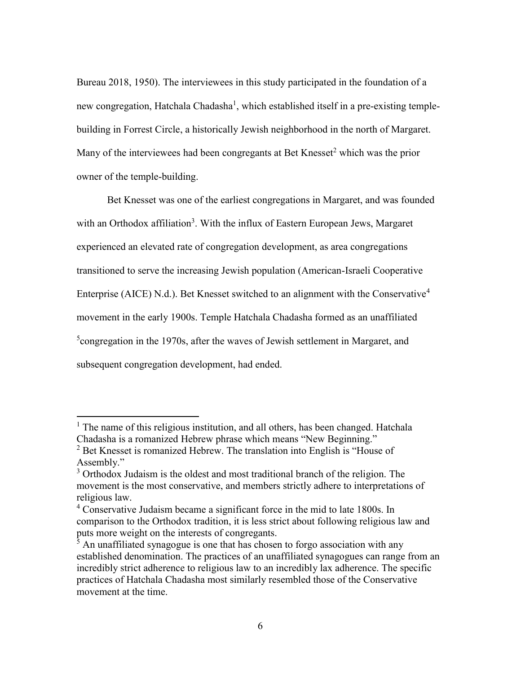Bureau 2018, 1950). The interviewees in this study participated in the foundation of a new congregation, Hatchala Chadasha<sup>1</sup>, which established itself in a pre-existing templebuilding in Forrest Circle, a historically Jewish neighborhood in the north of Margaret. Many of the interviewees had been congregants at Bet Knesset $2$  which was the prior owner of the temple-building.

Bet Knesset was one of the earliest congregations in Margaret, and was founded with an Orthodox affiliation<sup>3</sup>. With the influx of Eastern European Jews, Margaret experienced an elevated rate of congregation development, as area congregations transitioned to serve the increasing Jewish population (American-Israeli Cooperative Enterprise (AICE) N.d.). Bet Knesset switched to an alignment with the Conservative<sup>4</sup> movement in the early 1900s. Temple Hatchala Chadasha formed as an unaffiliated  $5$ congregation in the 1970s, after the waves of Jewish settlement in Margaret, and subsequent congregation development, had ended.

 $\overline{a}$ 

 $<sup>1</sup>$  The name of this religious institution, and all others, has been changed. Hatchala</sup> Chadasha is a romanized Hebrew phrase which means "New Beginning."

 $2^2$  Bet Knesset is romanized Hebrew. The translation into English is "House of Assembly."

<sup>&</sup>lt;sup>3</sup> Orthodox Judaism is the oldest and most traditional branch of the religion. The movement is the most conservative, and members strictly adhere to interpretations of religious law.

<sup>4</sup> Conservative Judaism became a significant force in the mid to late 1800s. In comparison to the Orthodox tradition, it is less strict about following religious law and puts more weight on the interests of congregants.

 $\frac{1}{5}$  An unaffiliated synagogue is one that has chosen to forgo association with any established denomination. The practices of an unaffiliated synagogues can range from an incredibly strict adherence to religious law to an incredibly lax adherence. The specific practices of Hatchala Chadasha most similarly resembled those of the Conservative movement at the time.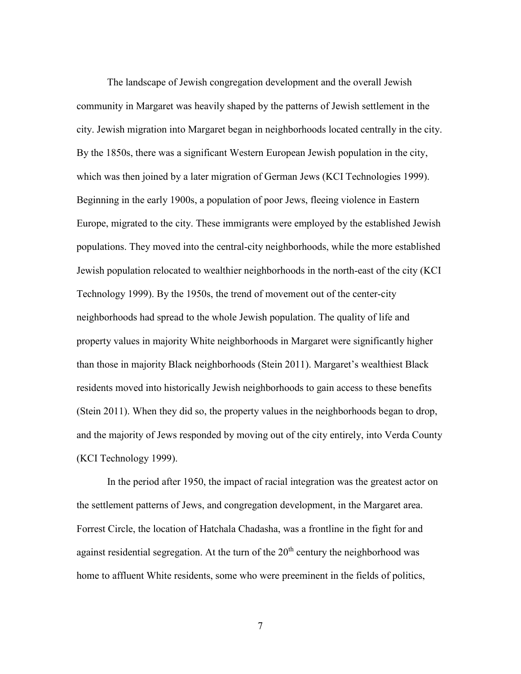The landscape of Jewish congregation development and the overall Jewish community in Margaret was heavily shaped by the patterns of Jewish settlement in the city. Jewish migration into Margaret began in neighborhoods located centrally in the city. By the 1850s, there was a significant Western European Jewish population in the city, which was then joined by a later migration of German Jews (KCI Technologies 1999). Beginning in the early 1900s, a population of poor Jews, fleeing violence in Eastern Europe, migrated to the city. These immigrants were employed by the established Jewish populations. They moved into the central-city neighborhoods, while the more established Jewish population relocated to wealthier neighborhoods in the north-east of the city (KCI Technology 1999). By the 1950s, the trend of movement out of the center-city neighborhoods had spread to the whole Jewish population. The quality of life and property values in majority White neighborhoods in Margaret were significantly higher than those in majority Black neighborhoods (Stein 2011). Margaret's wealthiest Black residents moved into historically Jewish neighborhoods to gain access to these benefits (Stein 2011). When they did so, the property values in the neighborhoods began to drop, and the majority of Jews responded by moving out of the city entirely, into Verda County (KCI Technology 1999).

In the period after 1950, the impact of racial integration was the greatest actor on the settlement patterns of Jews, and congregation development, in the Margaret area. Forrest Circle, the location of Hatchala Chadasha, was a frontline in the fight for and against residential segregation. At the turn of the  $20<sup>th</sup>$  century the neighborhood was home to affluent White residents, some who were preeminent in the fields of politics,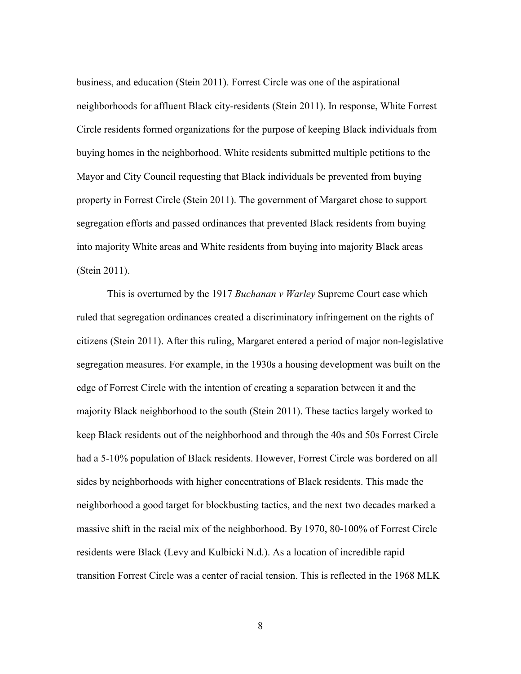business, and education (Stein 2011). Forrest Circle was one of the aspirational neighborhoods for affluent Black city-residents (Stein 2011). In response, White Forrest Circle residents formed organizations for the purpose of keeping Black individuals from buying homes in the neighborhood. White residents submitted multiple petitions to the Mayor and City Council requesting that Black individuals be prevented from buying property in Forrest Circle (Stein 2011). The government of Margaret chose to support segregation efforts and passed ordinances that prevented Black residents from buying into majority White areas and White residents from buying into majority Black areas (Stein 2011).

This is overturned by the 1917 *Buchanan v Warley* Supreme Court case which ruled that segregation ordinances created a discriminatory infringement on the rights of citizens (Stein 2011). After this ruling, Margaret entered a period of major non-legislative segregation measures. For example, in the 1930s a housing development was built on the edge of Forrest Circle with the intention of creating a separation between it and the majority Black neighborhood to the south (Stein 2011). These tactics largely worked to keep Black residents out of the neighborhood and through the 40s and 50s Forrest Circle had a 5-10% population of Black residents. However, Forrest Circle was bordered on all sides by neighborhoods with higher concentrations of Black residents. This made the neighborhood a good target for blockbusting tactics, and the next two decades marked a massive shift in the racial mix of the neighborhood. By 1970, 80-100% of Forrest Circle residents were Black (Levy and Kulbicki N.d.). As a location of incredible rapid transition Forrest Circle was a center of racial tension. This is reflected in the 1968 MLK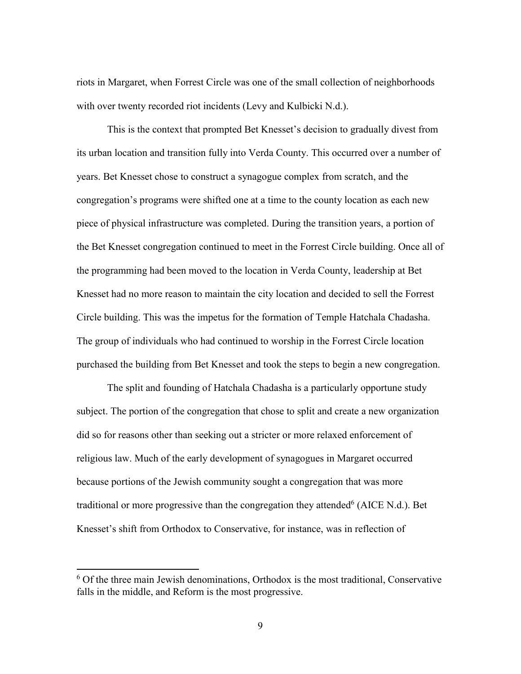riots in Margaret, when Forrest Circle was one of the small collection of neighborhoods with over twenty recorded riot incidents (Levy and Kulbicki N.d.).

This is the context that prompted Bet Knesset's decision to gradually divest from its urban location and transition fully into Verda County. This occurred over a number of years. Bet Knesset chose to construct a synagogue complex from scratch, and the congregation's programs were shifted one at a time to the county location as each new piece of physical infrastructure was completed. During the transition years, a portion of the Bet Knesset congregation continued to meet in the Forrest Circle building. Once all of the programming had been moved to the location in Verda County, leadership at Bet Knesset had no more reason to maintain the city location and decided to sell the Forrest Circle building. This was the impetus for the formation of Temple Hatchala Chadasha. The group of individuals who had continued to worship in the Forrest Circle location purchased the building from Bet Knesset and took the steps to begin a new congregation.

The split and founding of Hatchala Chadasha is a particularly opportune study subject. The portion of the congregation that chose to split and create a new organization did so for reasons other than seeking out a stricter or more relaxed enforcement of religious law. Much of the early development of synagogues in Margaret occurred because portions of the Jewish community sought a congregation that was more traditional or more progressive than the congregation they attended  $(AICE N.d.)$ . Bet Knesset's shift from Orthodox to Conservative, for instance, was in reflection of

 $\overline{\phantom{a}}$ 

<sup>6</sup> Of the three main Jewish denominations, Orthodox is the most traditional, Conservative falls in the middle, and Reform is the most progressive.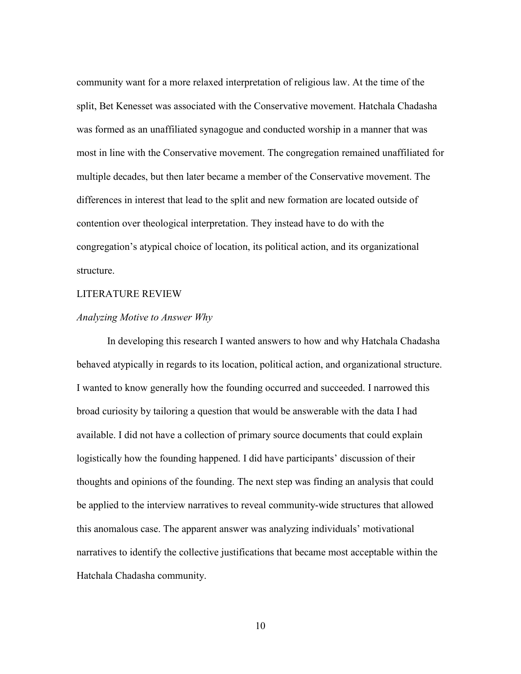community want for a more relaxed interpretation of religious law. At the time of the split, Bet Kenesset was associated with the Conservative movement. Hatchala Chadasha was formed as an unaffiliated synagogue and conducted worship in a manner that was most in line with the Conservative movement. The congregation remained unaffiliated for multiple decades, but then later became a member of the Conservative movement. The differences in interest that lead to the split and new formation are located outside of contention over theological interpretation. They instead have to do with the congregation's atypical choice of location, its political action, and its organizational structure.

#### LITERATURE REVIEW

#### *Analyzing Motive to Answer Why*

In developing this research I wanted answers to how and why Hatchala Chadasha behaved atypically in regards to its location, political action, and organizational structure. I wanted to know generally how the founding occurred and succeeded. I narrowed this broad curiosity by tailoring a question that would be answerable with the data I had available. I did not have a collection of primary source documents that could explain logistically how the founding happened. I did have participants' discussion of their thoughts and opinions of the founding. The next step was finding an analysis that could be applied to the interview narratives to reveal community-wide structures that allowed this anomalous case. The apparent answer was analyzing individuals' motivational narratives to identify the collective justifications that became most acceptable within the Hatchala Chadasha community.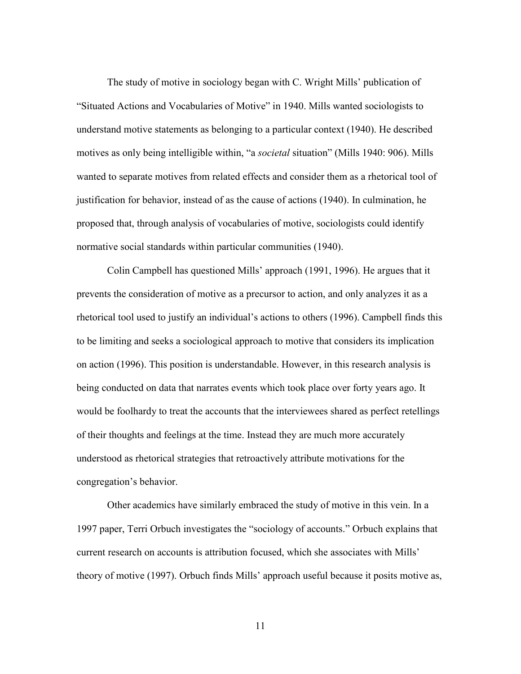The study of motive in sociology began with C. Wright Mills' publication of "Situated Actions and Vocabularies of Motive" in 1940. Mills wanted sociologists to understand motive statements as belonging to a particular context (1940). He described motives as only being intelligible within, "a *societal* situation" (Mills 1940: 906). Mills wanted to separate motives from related effects and consider them as a rhetorical tool of justification for behavior, instead of as the cause of actions (1940). In culmination, he proposed that, through analysis of vocabularies of motive, sociologists could identify normative social standards within particular communities (1940).

Colin Campbell has questioned Mills' approach (1991, 1996). He argues that it prevents the consideration of motive as a precursor to action, and only analyzes it as a rhetorical tool used to justify an individual's actions to others (1996). Campbell finds this to be limiting and seeks a sociological approach to motive that considers its implication on action (1996). This position is understandable. However, in this research analysis is being conducted on data that narrates events which took place over forty years ago. It would be foolhardy to treat the accounts that the interviewees shared as perfect retellings of their thoughts and feelings at the time. Instead they are much more accurately understood as rhetorical strategies that retroactively attribute motivations for the congregation's behavior.

Other academics have similarly embraced the study of motive in this vein. In a 1997 paper, Terri Orbuch investigates the "sociology of accounts." Orbuch explains that current research on accounts is attribution focused, which she associates with Mills' theory of motive (1997). Orbuch finds Mills' approach useful because it posits motive as,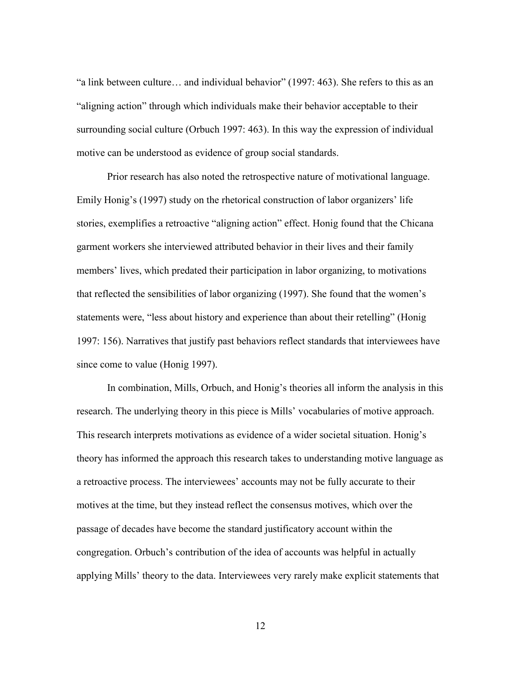"a link between culture… and individual behavior" (1997: 463). She refers to this as an "aligning action" through which individuals make their behavior acceptable to their surrounding social culture (Orbuch 1997: 463). In this way the expression of individual motive can be understood as evidence of group social standards.

Prior research has also noted the retrospective nature of motivational language. Emily Honig's (1997) study on the rhetorical construction of labor organizers' life stories, exemplifies a retroactive "aligning action" effect. Honig found that the Chicana garment workers she interviewed attributed behavior in their lives and their family members' lives, which predated their participation in labor organizing, to motivations that reflected the sensibilities of labor organizing (1997). She found that the women's statements were, "less about history and experience than about their retelling" (Honig 1997: 156). Narratives that justify past behaviors reflect standards that interviewees have since come to value (Honig 1997).

In combination, Mills, Orbuch, and Honig's theories all inform the analysis in this research. The underlying theory in this piece is Mills' vocabularies of motive approach. This research interprets motivations as evidence of a wider societal situation. Honig's theory has informed the approach this research takes to understanding motive language as a retroactive process. The interviewees' accounts may not be fully accurate to their motives at the time, but they instead reflect the consensus motives, which over the passage of decades have become the standard justificatory account within the congregation. Orbuch's contribution of the idea of accounts was helpful in actually applying Mills' theory to the data. Interviewees very rarely make explicit statements that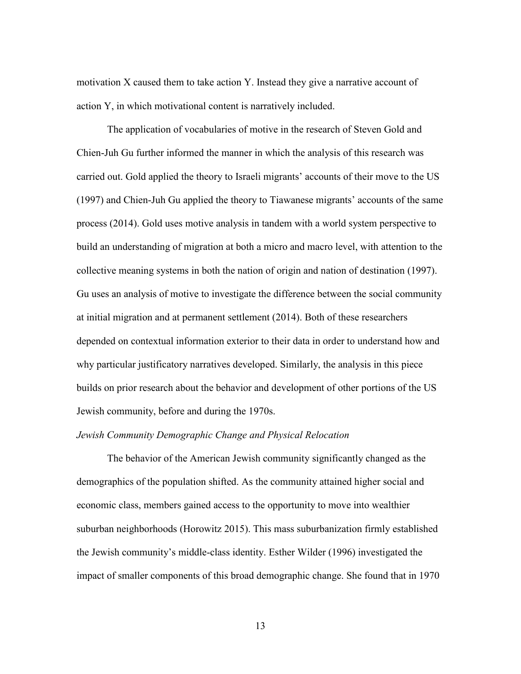motivation X caused them to take action Y. Instead they give a narrative account of action Y, in which motivational content is narratively included.

The application of vocabularies of motive in the research of Steven Gold and Chien-Juh Gu further informed the manner in which the analysis of this research was carried out. Gold applied the theory to Israeli migrants' accounts of their move to the US (1997) and Chien-Juh Gu applied the theory to Tiawanese migrants' accounts of the same process (2014). Gold uses motive analysis in tandem with a world system perspective to build an understanding of migration at both a micro and macro level, with attention to the collective meaning systems in both the nation of origin and nation of destination (1997). Gu uses an analysis of motive to investigate the difference between the social community at initial migration and at permanent settlement (2014). Both of these researchers depended on contextual information exterior to their data in order to understand how and why particular justificatory narratives developed. Similarly, the analysis in this piece builds on prior research about the behavior and development of other portions of the US Jewish community, before and during the 1970s.

# *Jewish Community Demographic Change and Physical Relocation*

The behavior of the American Jewish community significantly changed as the demographics of the population shifted. As the community attained higher social and economic class, members gained access to the opportunity to move into wealthier suburban neighborhoods (Horowitz 2015). This mass suburbanization firmly established the Jewish community's middle-class identity. Esther Wilder (1996) investigated the impact of smaller components of this broad demographic change. She found that in 1970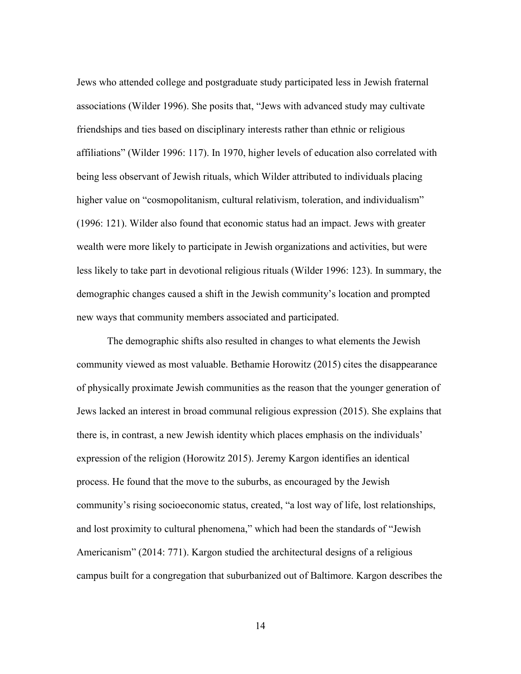Jews who attended college and postgraduate study participated less in Jewish fraternal associations (Wilder 1996). She posits that, "Jews with advanced study may cultivate friendships and ties based on disciplinary interests rather than ethnic or religious affiliations" (Wilder 1996: 117). In 1970, higher levels of education also correlated with being less observant of Jewish rituals, which Wilder attributed to individuals placing higher value on "cosmopolitanism, cultural relativism, toleration, and individualism" (1996: 121). Wilder also found that economic status had an impact. Jews with greater wealth were more likely to participate in Jewish organizations and activities, but were less likely to take part in devotional religious rituals (Wilder 1996: 123). In summary, the demographic changes caused a shift in the Jewish community's location and prompted new ways that community members associated and participated.

The demographic shifts also resulted in changes to what elements the Jewish community viewed as most valuable. Bethamie Horowitz (2015) cites the disappearance of physically proximate Jewish communities as the reason that the younger generation of Jews lacked an interest in broad communal religious expression (2015). She explains that there is, in contrast, a new Jewish identity which places emphasis on the individuals' expression of the religion (Horowitz 2015). Jeremy Kargon identifies an identical process. He found that the move to the suburbs, as encouraged by the Jewish community's rising socioeconomic status, created, "a lost way of life, lost relationships, and lost proximity to cultural phenomena," which had been the standards of "Jewish Americanism" (2014: 771). Kargon studied the architectural designs of a religious campus built for a congregation that suburbanized out of Baltimore. Kargon describes the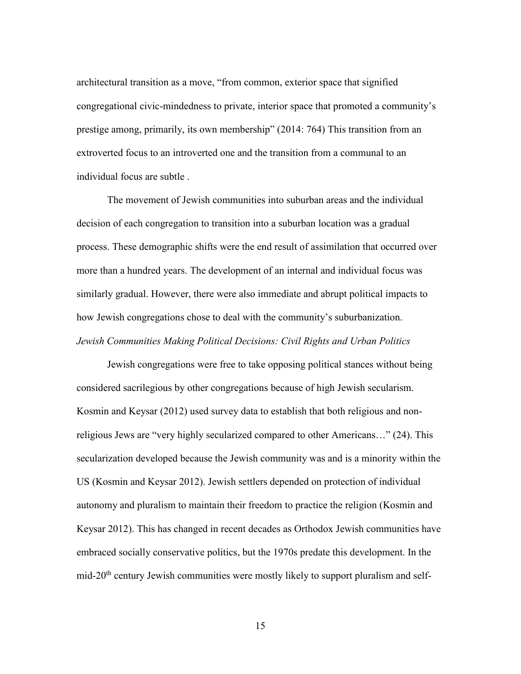architectural transition as a move, "from common, exterior space that signified congregational civic-mindedness to private, interior space that promoted a community's prestige among, primarily, its own membership" (2014: 764) This transition from an extroverted focus to an introverted one and the transition from a communal to an individual focus are subtle .

The movement of Jewish communities into suburban areas and the individual decision of each congregation to transition into a suburban location was a gradual process. These demographic shifts were the end result of assimilation that occurred over more than a hundred years. The development of an internal and individual focus was similarly gradual. However, there were also immediate and abrupt political impacts to how Jewish congregations chose to deal with the community's suburbanization. *Jewish Communities Making Political Decisions: Civil Rights and Urban Politics*

Jewish congregations were free to take opposing political stances without being considered sacrilegious by other congregations because of high Jewish secularism. Kosmin and Keysar (2012) used survey data to establish that both religious and nonreligious Jews are "very highly secularized compared to other Americans…" (24). This secularization developed because the Jewish community was and is a minority within the US (Kosmin and Keysar 2012). Jewish settlers depended on protection of individual autonomy and pluralism to maintain their freedom to practice the religion (Kosmin and Keysar 2012). This has changed in recent decades as Orthodox Jewish communities have embraced socially conservative politics, but the 1970s predate this development. In the mid-20<sup>th</sup> century Jewish communities were mostly likely to support pluralism and self-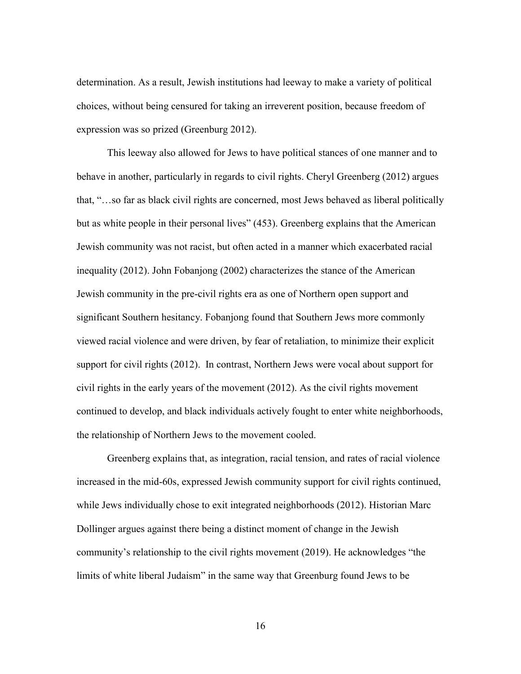determination. As a result, Jewish institutions had leeway to make a variety of political choices, without being censured for taking an irreverent position, because freedom of expression was so prized (Greenburg 2012).

This leeway also allowed for Jews to have political stances of one manner and to behave in another, particularly in regards to civil rights. Cheryl Greenberg (2012) argues that, "…so far as black civil rights are concerned, most Jews behaved as liberal politically but as white people in their personal lives" (453). Greenberg explains that the American Jewish community was not racist, but often acted in a manner which exacerbated racial inequality (2012). John Fobanjong (2002) characterizes the stance of the American Jewish community in the pre-civil rights era as one of Northern open support and significant Southern hesitancy. Fobanjong found that Southern Jews more commonly viewed racial violence and were driven, by fear of retaliation, to minimize their explicit support for civil rights (2012). In contrast, Northern Jews were vocal about support for civil rights in the early years of the movement (2012). As the civil rights movement continued to develop, and black individuals actively fought to enter white neighborhoods, the relationship of Northern Jews to the movement cooled.

Greenberg explains that, as integration, racial tension, and rates of racial violence increased in the mid-60s, expressed Jewish community support for civil rights continued, while Jews individually chose to exit integrated neighborhoods (2012). Historian Marc Dollinger argues against there being a distinct moment of change in the Jewish community's relationship to the civil rights movement (2019). He acknowledges "the limits of white liberal Judaism" in the same way that Greenburg found Jews to be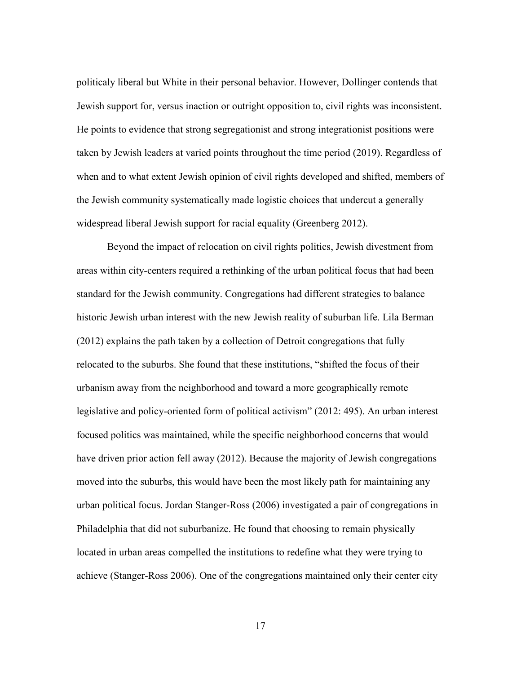politicaly liberal but White in their personal behavior. However, Dollinger contends that Jewish support for, versus inaction or outright opposition to, civil rights was inconsistent. He points to evidence that strong segregationist and strong integrationist positions were taken by Jewish leaders at varied points throughout the time period (2019). Regardless of when and to what extent Jewish opinion of civil rights developed and shifted, members of the Jewish community systematically made logistic choices that undercut a generally widespread liberal Jewish support for racial equality (Greenberg 2012).

Beyond the impact of relocation on civil rights politics, Jewish divestment from areas within city-centers required a rethinking of the urban political focus that had been standard for the Jewish community. Congregations had different strategies to balance historic Jewish urban interest with the new Jewish reality of suburban life. Lila Berman (2012) explains the path taken by a collection of Detroit congregations that fully relocated to the suburbs. She found that these institutions, "shifted the focus of their urbanism away from the neighborhood and toward a more geographically remote legislative and policy-oriented form of political activism" (2012: 495). An urban interest focused politics was maintained, while the specific neighborhood concerns that would have driven prior action fell away (2012). Because the majority of Jewish congregations moved into the suburbs, this would have been the most likely path for maintaining any urban political focus. Jordan Stanger-Ross (2006) investigated a pair of congregations in Philadelphia that did not suburbanize. He found that choosing to remain physically located in urban areas compelled the institutions to redefine what they were trying to achieve (Stanger-Ross 2006). One of the congregations maintained only their center city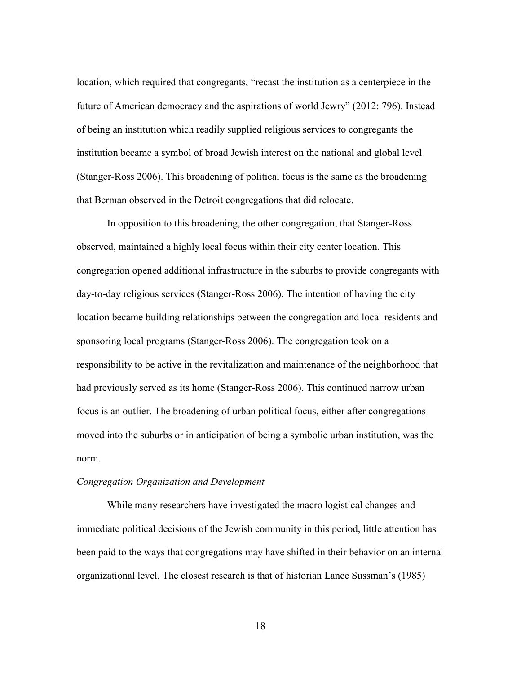location, which required that congregants, "recast the institution as a centerpiece in the future of American democracy and the aspirations of world Jewry" (2012: 796). Instead of being an institution which readily supplied religious services to congregants the institution became a symbol of broad Jewish interest on the national and global level (Stanger-Ross 2006). This broadening of political focus is the same as the broadening that Berman observed in the Detroit congregations that did relocate.

In opposition to this broadening, the other congregation, that Stanger-Ross observed, maintained a highly local focus within their city center location. This congregation opened additional infrastructure in the suburbs to provide congregants with day-to-day religious services (Stanger-Ross 2006). The intention of having the city location became building relationships between the congregation and local residents and sponsoring local programs (Stanger-Ross 2006). The congregation took on a responsibility to be active in the revitalization and maintenance of the neighborhood that had previously served as its home (Stanger-Ross 2006). This continued narrow urban focus is an outlier. The broadening of urban political focus, either after congregations moved into the suburbs or in anticipation of being a symbolic urban institution, was the norm.

# *Congregation Organization and Development*

While many researchers have investigated the macro logistical changes and immediate political decisions of the Jewish community in this period, little attention has been paid to the ways that congregations may have shifted in their behavior on an internal organizational level. The closest research is that of historian Lance Sussman's (1985)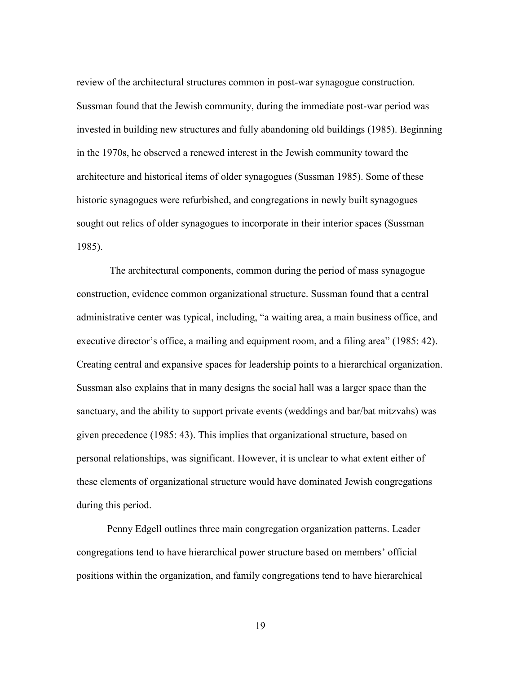review of the architectural structures common in post-war synagogue construction. Sussman found that the Jewish community, during the immediate post-war period was invested in building new structures and fully abandoning old buildings (1985). Beginning in the 1970s, he observed a renewed interest in the Jewish community toward the architecture and historical items of older synagogues (Sussman 1985). Some of these historic synagogues were refurbished, and congregations in newly built synagogues sought out relics of older synagogues to incorporate in their interior spaces (Sussman 1985).

The architectural components, common during the period of mass synagogue construction, evidence common organizational structure. Sussman found that a central administrative center was typical, including, "a waiting area, a main business office, and executive director's office, a mailing and equipment room, and a filing area" (1985: 42). Creating central and expansive spaces for leadership points to a hierarchical organization. Sussman also explains that in many designs the social hall was a larger space than the sanctuary, and the ability to support private events (weddings and bar/bat mitzvahs) was given precedence (1985: 43). This implies that organizational structure, based on personal relationships, was significant. However, it is unclear to what extent either of these elements of organizational structure would have dominated Jewish congregations during this period.

Penny Edgell outlines three main congregation organization patterns. Leader congregations tend to have hierarchical power structure based on members' official positions within the organization, and family congregations tend to have hierarchical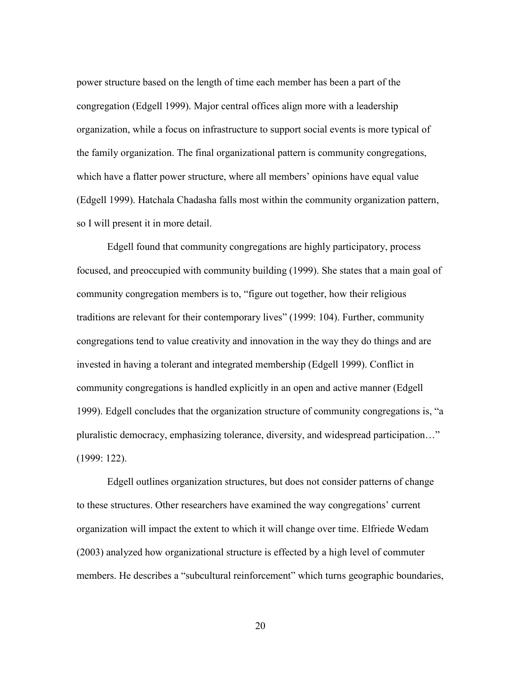power structure based on the length of time each member has been a part of the congregation (Edgell 1999). Major central offices align more with a leadership organization, while a focus on infrastructure to support social events is more typical of the family organization. The final organizational pattern is community congregations, which have a flatter power structure, where all members' opinions have equal value (Edgell 1999). Hatchala Chadasha falls most within the community organization pattern, so I will present it in more detail.

Edgell found that community congregations are highly participatory, process focused, and preoccupied with community building (1999). She states that a main goal of community congregation members is to, "figure out together, how their religious traditions are relevant for their contemporary lives" (1999: 104). Further, community congregations tend to value creativity and innovation in the way they do things and are invested in having a tolerant and integrated membership (Edgell 1999). Conflict in community congregations is handled explicitly in an open and active manner (Edgell 1999). Edgell concludes that the organization structure of community congregations is, "a pluralistic democracy, emphasizing tolerance, diversity, and widespread participation…" (1999: 122).

Edgell outlines organization structures, but does not consider patterns of change to these structures. Other researchers have examined the way congregations' current organization will impact the extent to which it will change over time. Elfriede Wedam (2003) analyzed how organizational structure is effected by a high level of commuter members. He describes a "subcultural reinforcement" which turns geographic boundaries,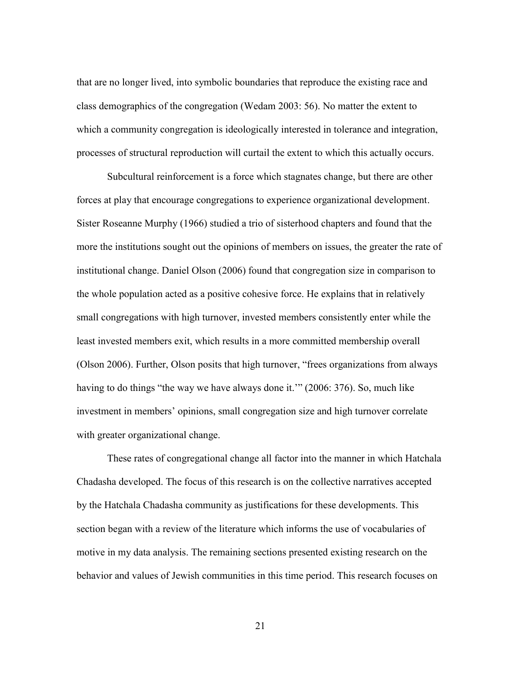that are no longer lived, into symbolic boundaries that reproduce the existing race and class demographics of the congregation (Wedam 2003: 56). No matter the extent to which a community congregation is ideologically interested in tolerance and integration, processes of structural reproduction will curtail the extent to which this actually occurs.

Subcultural reinforcement is a force which stagnates change, but there are other forces at play that encourage congregations to experience organizational development. Sister Roseanne Murphy (1966) studied a trio of sisterhood chapters and found that the more the institutions sought out the opinions of members on issues, the greater the rate of institutional change. Daniel Olson (2006) found that congregation size in comparison to the whole population acted as a positive cohesive force. He explains that in relatively small congregations with high turnover, invested members consistently enter while the least invested members exit, which results in a more committed membership overall (Olson 2006). Further, Olson posits that high turnover, "frees organizations from always having to do things "the way we have always done it.'" (2006: 376). So, much like investment in members' opinions, small congregation size and high turnover correlate with greater organizational change.

These rates of congregational change all factor into the manner in which Hatchala Chadasha developed. The focus of this research is on the collective narratives accepted by the Hatchala Chadasha community as justifications for these developments. This section began with a review of the literature which informs the use of vocabularies of motive in my data analysis. The remaining sections presented existing research on the behavior and values of Jewish communities in this time period. This research focuses on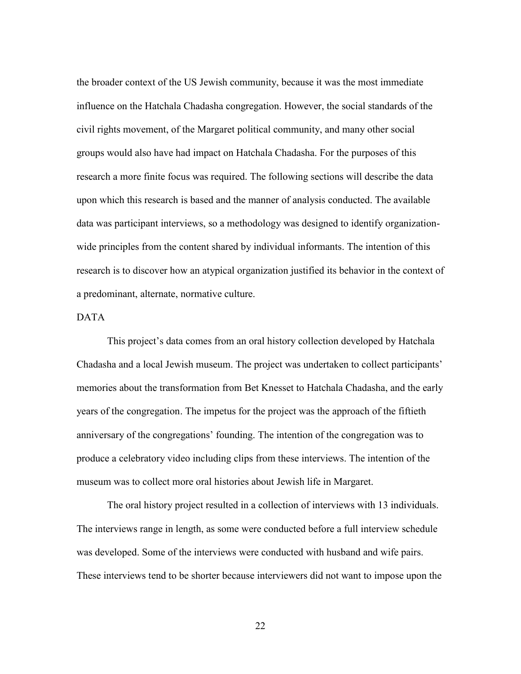the broader context of the US Jewish community, because it was the most immediate influence on the Hatchala Chadasha congregation. However, the social standards of the civil rights movement, of the Margaret political community, and many other social groups would also have had impact on Hatchala Chadasha. For the purposes of this research a more finite focus was required. The following sections will describe the data upon which this research is based and the manner of analysis conducted. The available data was participant interviews, so a methodology was designed to identify organizationwide principles from the content shared by individual informants. The intention of this research is to discover how an atypical organization justified its behavior in the context of a predominant, alternate, normative culture.

# DATA

This project's data comes from an oral history collection developed by Hatchala Chadasha and a local Jewish museum. The project was undertaken to collect participants' memories about the transformation from Bet Knesset to Hatchala Chadasha, and the early years of the congregation. The impetus for the project was the approach of the fiftieth anniversary of the congregations' founding. The intention of the congregation was to produce a celebratory video including clips from these interviews. The intention of the museum was to collect more oral histories about Jewish life in Margaret.

The oral history project resulted in a collection of interviews with 13 individuals. The interviews range in length, as some were conducted before a full interview schedule was developed. Some of the interviews were conducted with husband and wife pairs. These interviews tend to be shorter because interviewers did not want to impose upon the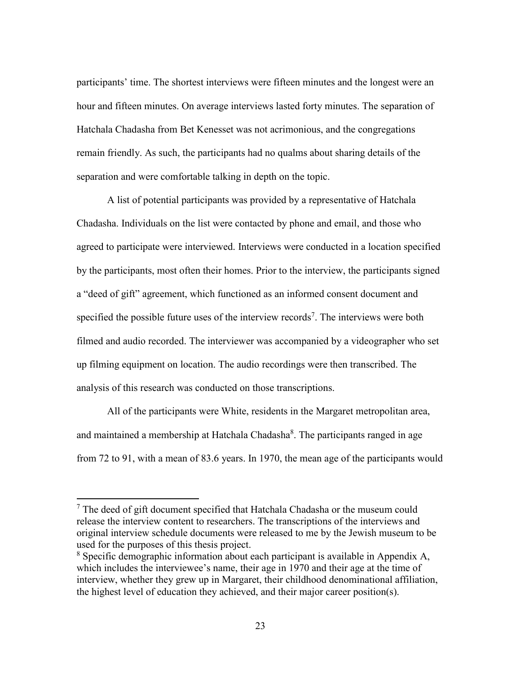participants' time. The shortest interviews were fifteen minutes and the longest were an hour and fifteen minutes. On average interviews lasted forty minutes. The separation of Hatchala Chadasha from Bet Kenesset was not acrimonious, and the congregations remain friendly. As such, the participants had no qualms about sharing details of the separation and were comfortable talking in depth on the topic.

A list of potential participants was provided by a representative of Hatchala Chadasha. Individuals on the list were contacted by phone and email, and those who agreed to participate were interviewed. Interviews were conducted in a location specified by the participants, most often their homes. Prior to the interview, the participants signed a "deed of gift" agreement, which functioned as an informed consent document and specified the possible future uses of the interview records<sup>7</sup>. The interviews were both filmed and audio recorded. The interviewer was accompanied by a videographer who set up filming equipment on location. The audio recordings were then transcribed. The analysis of this research was conducted on those transcriptions.

All of the participants were White, residents in the Margaret metropolitan area, and maintained a membership at Hatchala Chadasha<sup>8</sup>. The participants ranged in age from 72 to 91, with a mean of 83.6 years. In 1970, the mean age of the participants would

 $\overline{\phantom{a}}$ 

 $<sup>7</sup>$  The deed of gift document specified that Hatchala Chadasha or the museum could</sup> release the interview content to researchers. The transcriptions of the interviews and original interview schedule documents were released to me by the Jewish museum to be used for the purposes of this thesis project.

<sup>8</sup> Specific demographic information about each participant is available in Appendix A, which includes the interviewee's name, their age in 1970 and their age at the time of interview, whether they grew up in Margaret, their childhood denominational affiliation, the highest level of education they achieved, and their major career position(s).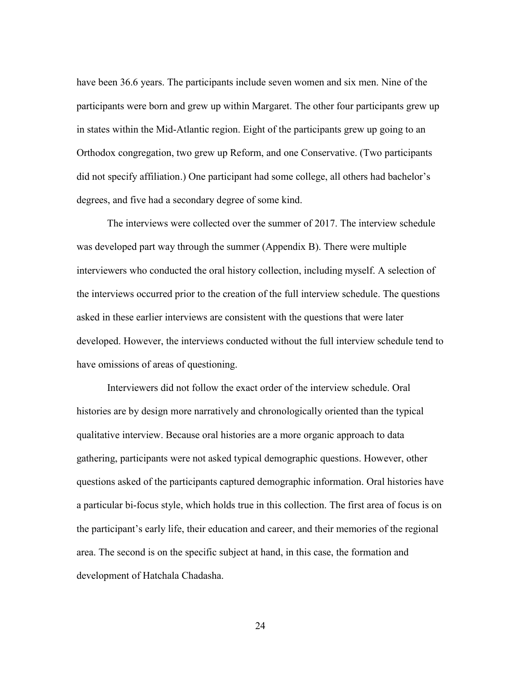have been 36.6 years. The participants include seven women and six men. Nine of the participants were born and grew up within Margaret. The other four participants grew up in states within the Mid-Atlantic region. Eight of the participants grew up going to an Orthodox congregation, two grew up Reform, and one Conservative. (Two participants did not specify affiliation.) One participant had some college, all others had bachelor's degrees, and five had a secondary degree of some kind.

The interviews were collected over the summer of 2017. The interview schedule was developed part way through the summer (Appendix B). There were multiple interviewers who conducted the oral history collection, including myself. A selection of the interviews occurred prior to the creation of the full interview schedule. The questions asked in these earlier interviews are consistent with the questions that were later developed. However, the interviews conducted without the full interview schedule tend to have omissions of areas of questioning.

Interviewers did not follow the exact order of the interview schedule. Oral histories are by design more narratively and chronologically oriented than the typical qualitative interview. Because oral histories are a more organic approach to data gathering, participants were not asked typical demographic questions. However, other questions asked of the participants captured demographic information. Oral histories have a particular bi-focus style, which holds true in this collection. The first area of focus is on the participant's early life, their education and career, and their memories of the regional area. The second is on the specific subject at hand, in this case, the formation and development of Hatchala Chadasha.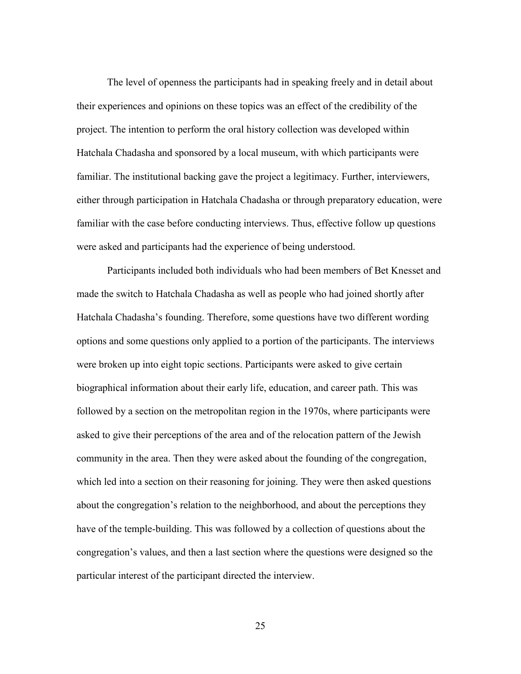The level of openness the participants had in speaking freely and in detail about their experiences and opinions on these topics was an effect of the credibility of the project. The intention to perform the oral history collection was developed within Hatchala Chadasha and sponsored by a local museum, with which participants were familiar. The institutional backing gave the project a legitimacy. Further, interviewers, either through participation in Hatchala Chadasha or through preparatory education, were familiar with the case before conducting interviews. Thus, effective follow up questions were asked and participants had the experience of being understood.

Participants included both individuals who had been members of Bet Knesset and made the switch to Hatchala Chadasha as well as people who had joined shortly after Hatchala Chadasha's founding. Therefore, some questions have two different wording options and some questions only applied to a portion of the participants. The interviews were broken up into eight topic sections. Participants were asked to give certain biographical information about their early life, education, and career path. This was followed by a section on the metropolitan region in the 1970s, where participants were asked to give their perceptions of the area and of the relocation pattern of the Jewish community in the area. Then they were asked about the founding of the congregation, which led into a section on their reasoning for joining. They were then asked questions about the congregation's relation to the neighborhood, and about the perceptions they have of the temple-building. This was followed by a collection of questions about the congregation's values, and then a last section where the questions were designed so the particular interest of the participant directed the interview.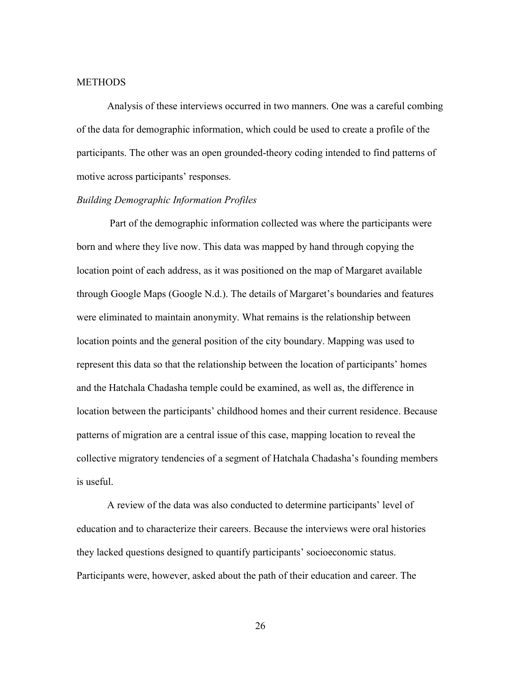## **METHODS**

Analysis of these interviews occurred in two manners. One was a careful combing of the data for demographic information, which could be used to create a profile of the participants. The other was an open grounded-theory coding intended to find patterns of motive across participants' responses.

#### *Building Demographic Information Profiles*

Part of the demographic information collected was where the participants were born and where they live now. This data was mapped by hand through copying the location point of each address, as it was positioned on the map of Margaret available through Google Maps (Google N.d.). The details of Margaret's boundaries and features were eliminated to maintain anonymity. What remains is the relationship between location points and the general position of the city boundary. Mapping was used to represent this data so that the relationship between the location of participants' homes and the Hatchala Chadasha temple could be examined, as well as, the difference in location between the participants' childhood homes and their current residence. Because patterns of migration are a central issue of this case, mapping location to reveal the collective migratory tendencies of a segment of Hatchala Chadasha's founding members is useful.

A review of the data was also conducted to determine participants' level of education and to characterize their careers. Because the interviews were oral histories they lacked questions designed to quantify participants' socioeconomic status. Participants were, however, asked about the path of their education and career. The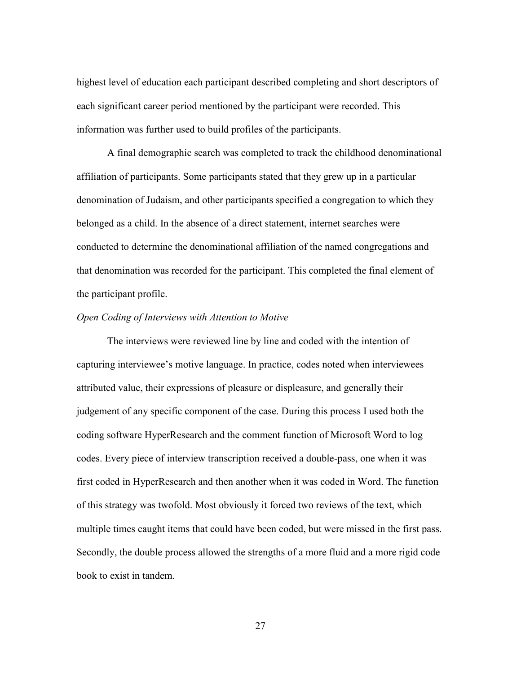highest level of education each participant described completing and short descriptors of each significant career period mentioned by the participant were recorded. This information was further used to build profiles of the participants.

A final demographic search was completed to track the childhood denominational affiliation of participants. Some participants stated that they grew up in a particular denomination of Judaism, and other participants specified a congregation to which they belonged as a child. In the absence of a direct statement, internet searches were conducted to determine the denominational affiliation of the named congregations and that denomination was recorded for the participant. This completed the final element of the participant profile.

#### *Open Coding of Interviews with Attention to Motive*

The interviews were reviewed line by line and coded with the intention of capturing interviewee's motive language. In practice, codes noted when interviewees attributed value, their expressions of pleasure or displeasure, and generally their judgement of any specific component of the case. During this process I used both the coding software HyperResearch and the comment function of Microsoft Word to log codes. Every piece of interview transcription received a double-pass, one when it was first coded in HyperResearch and then another when it was coded in Word. The function of this strategy was twofold. Most obviously it forced two reviews of the text, which multiple times caught items that could have been coded, but were missed in the first pass. Secondly, the double process allowed the strengths of a more fluid and a more rigid code book to exist in tandem.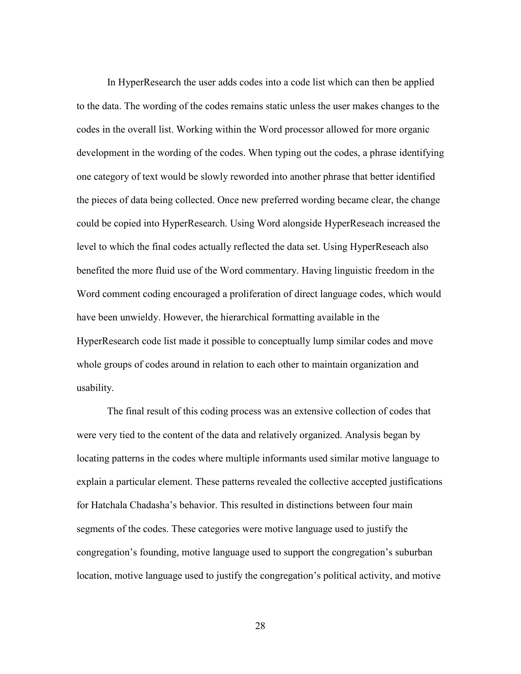In HyperResearch the user adds codes into a code list which can then be applied to the data. The wording of the codes remains static unless the user makes changes to the codes in the overall list. Working within the Word processor allowed for more organic development in the wording of the codes. When typing out the codes, a phrase identifying one category of text would be slowly reworded into another phrase that better identified the pieces of data being collected. Once new preferred wording became clear, the change could be copied into HyperResearch. Using Word alongside HyperReseach increased the level to which the final codes actually reflected the data set. Using HyperReseach also benefited the more fluid use of the Word commentary. Having linguistic freedom in the Word comment coding encouraged a proliferation of direct language codes, which would have been unwieldy. However, the hierarchical formatting available in the HyperResearch code list made it possible to conceptually lump similar codes and move whole groups of codes around in relation to each other to maintain organization and usability.

The final result of this coding process was an extensive collection of codes that were very tied to the content of the data and relatively organized. Analysis began by locating patterns in the codes where multiple informants used similar motive language to explain a particular element. These patterns revealed the collective accepted justifications for Hatchala Chadasha's behavior. This resulted in distinctions between four main segments of the codes. These categories were motive language used to justify the congregation's founding, motive language used to support the congregation's suburban location, motive language used to justify the congregation's political activity, and motive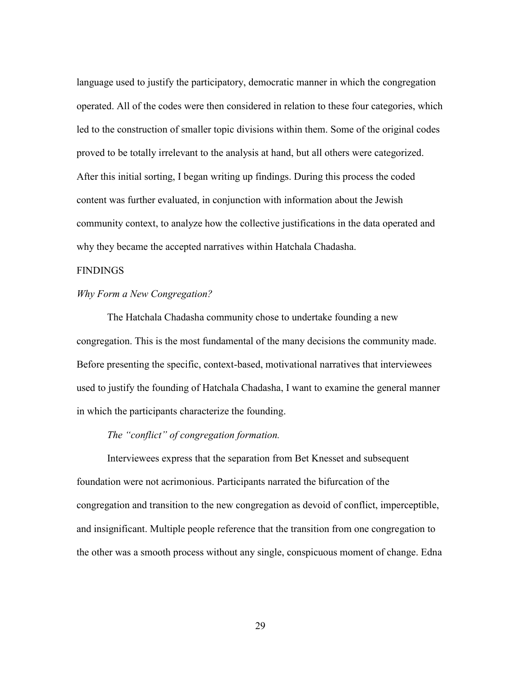language used to justify the participatory, democratic manner in which the congregation operated. All of the codes were then considered in relation to these four categories, which led to the construction of smaller topic divisions within them. Some of the original codes proved to be totally irrelevant to the analysis at hand, but all others were categorized. After this initial sorting, I began writing up findings. During this process the coded content was further evaluated, in conjunction with information about the Jewish community context, to analyze how the collective justifications in the data operated and why they became the accepted narratives within Hatchala Chadasha.

# FINDINGS

# *Why Form a New Congregation?*

The Hatchala Chadasha community chose to undertake founding a new congregation. This is the most fundamental of the many decisions the community made. Before presenting the specific, context-based, motivational narratives that interviewees used to justify the founding of Hatchala Chadasha, I want to examine the general manner in which the participants characterize the founding.

# *The "conflict" of congregation formation.*

Interviewees express that the separation from Bet Knesset and subsequent foundation were not acrimonious. Participants narrated the bifurcation of the congregation and transition to the new congregation as devoid of conflict, imperceptible, and insignificant. Multiple people reference that the transition from one congregation to the other was a smooth process without any single, conspicuous moment of change. Edna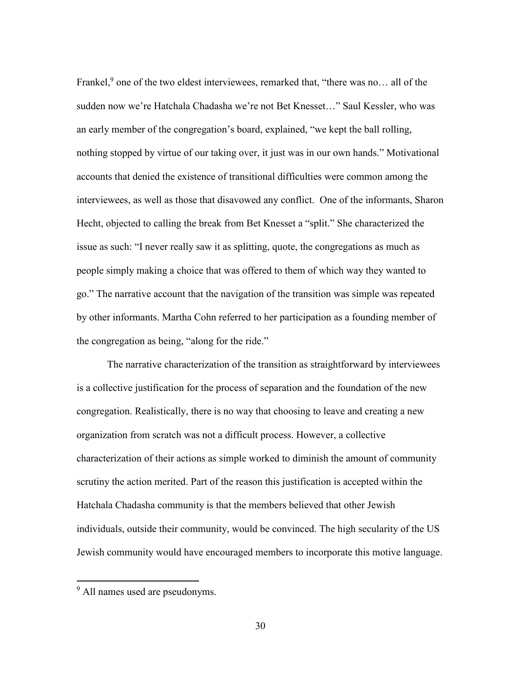Frankel,<sup>9</sup> one of the two eldest interviewees, remarked that, "there was no... all of the sudden now we're Hatchala Chadasha we're not Bet Knesset…" Saul Kessler, who was an early member of the congregation's board, explained, "we kept the ball rolling, nothing stopped by virtue of our taking over, it just was in our own hands." Motivational accounts that denied the existence of transitional difficulties were common among the interviewees, as well as those that disavowed any conflict. One of the informants, Sharon Hecht, objected to calling the break from Bet Knesset a "split." She characterized the issue as such: "I never really saw it as splitting, quote, the congregations as much as people simply making a choice that was offered to them of which way they wanted to go." The narrative account that the navigation of the transition was simple was repeated by other informants. Martha Cohn referred to her participation as a founding member of the congregation as being, "along for the ride."

The narrative characterization of the transition as straightforward by interviewees is a collective justification for the process of separation and the foundation of the new congregation. Realistically, there is no way that choosing to leave and creating a new organization from scratch was not a difficult process. However, a collective characterization of their actions as simple worked to diminish the amount of community scrutiny the action merited. Part of the reason this justification is accepted within the Hatchala Chadasha community is that the members believed that other Jewish individuals, outside their community, would be convinced. The high secularity of the US Jewish community would have encouraged members to incorporate this motive language.

 $\overline{\phantom{a}}$ 

<sup>&</sup>lt;sup>9</sup> All names used are pseudonyms.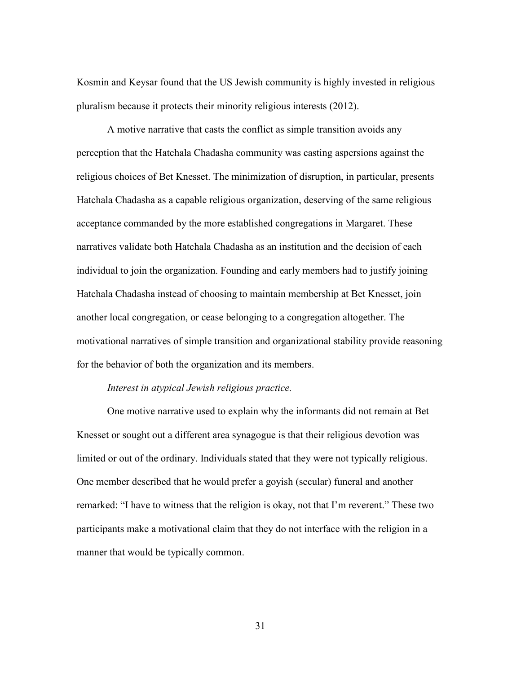Kosmin and Keysar found that the US Jewish community is highly invested in religious pluralism because it protects their minority religious interests (2012).

A motive narrative that casts the conflict as simple transition avoids any perception that the Hatchala Chadasha community was casting aspersions against the religious choices of Bet Knesset. The minimization of disruption, in particular, presents Hatchala Chadasha as a capable religious organization, deserving of the same religious acceptance commanded by the more established congregations in Margaret. These narratives validate both Hatchala Chadasha as an institution and the decision of each individual to join the organization. Founding and early members had to justify joining Hatchala Chadasha instead of choosing to maintain membership at Bet Knesset, join another local congregation, or cease belonging to a congregation altogether. The motivational narratives of simple transition and organizational stability provide reasoning for the behavior of both the organization and its members.

# *Interest in atypical Jewish religious practice.*

One motive narrative used to explain why the informants did not remain at Bet Knesset or sought out a different area synagogue is that their religious devotion was limited or out of the ordinary. Individuals stated that they were not typically religious. One member described that he would prefer a goyish (secular) funeral and another remarked: "I have to witness that the religion is okay, not that I'm reverent." These two participants make a motivational claim that they do not interface with the religion in a manner that would be typically common.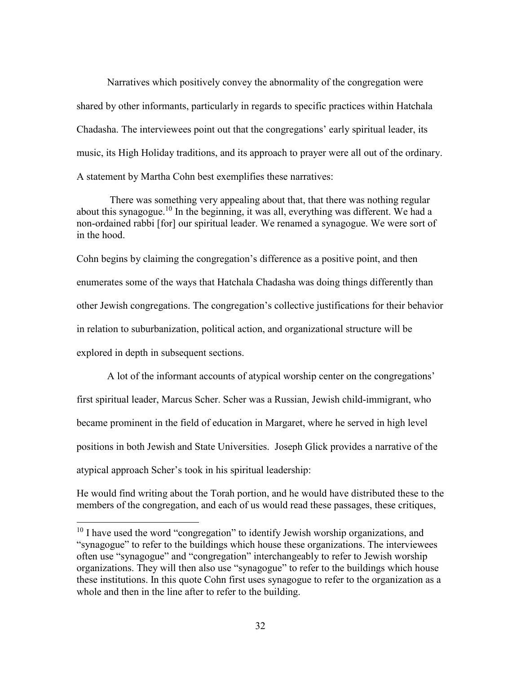Narratives which positively convey the abnormality of the congregation were shared by other informants, particularly in regards to specific practices within Hatchala Chadasha. The interviewees point out that the congregations' early spiritual leader, its music, its High Holiday traditions, and its approach to prayer were all out of the ordinary. A statement by Martha Cohn best exemplifies these narratives:

There was something very appealing about that, that there was nothing regular about this synagogue.<sup>10</sup> In the beginning, it was all, everything was different. We had a non-ordained rabbi [for] our spiritual leader. We renamed a synagogue. We were sort of in the hood.

Cohn begins by claiming the congregation's difference as a positive point, and then enumerates some of the ways that Hatchala Chadasha was doing things differently than other Jewish congregations. The congregation's collective justifications for their behavior in relation to suburbanization, political action, and organizational structure will be explored in depth in subsequent sections.

A lot of the informant accounts of atypical worship center on the congregations' first spiritual leader, Marcus Scher. Scher was a Russian, Jewish child-immigrant, who became prominent in the field of education in Margaret, where he served in high level positions in both Jewish and State Universities. Joseph Glick provides a narrative of the atypical approach Scher's took in his spiritual leadership:

He would find writing about the Torah portion, and he would have distributed these to the members of the congregation, and each of us would read these passages, these critiques,

 $\overline{\phantom{a}}$ 

<sup>&</sup>lt;sup>10</sup> I have used the word "congregation" to identify Jewish worship organizations, and "synagogue" to refer to the buildings which house these organizations. The interviewees often use "synagogue" and "congregation" interchangeably to refer to Jewish worship organizations. They will then also use "synagogue" to refer to the buildings which house these institutions. In this quote Cohn first uses synagogue to refer to the organization as a whole and then in the line after to refer to the building.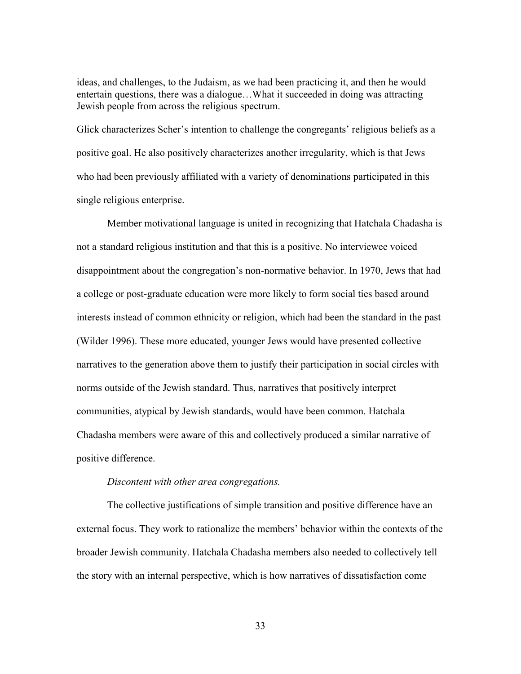ideas, and challenges, to the Judaism, as we had been practicing it, and then he would entertain questions, there was a dialogue…What it succeeded in doing was attracting Jewish people from across the religious spectrum.

Glick characterizes Scher's intention to challenge the congregants' religious beliefs as a positive goal. He also positively characterizes another irregularity, which is that Jews who had been previously affiliated with a variety of denominations participated in this single religious enterprise.

Member motivational language is united in recognizing that Hatchala Chadasha is not a standard religious institution and that this is a positive. No interviewee voiced disappointment about the congregation's non-normative behavior. In 1970, Jews that had a college or post-graduate education were more likely to form social ties based around interests instead of common ethnicity or religion, which had been the standard in the past (Wilder 1996). These more educated, younger Jews would have presented collective narratives to the generation above them to justify their participation in social circles with norms outside of the Jewish standard. Thus, narratives that positively interpret communities, atypical by Jewish standards, would have been common. Hatchala Chadasha members were aware of this and collectively produced a similar narrative of positive difference.

# *Discontent with other area congregations.*

The collective justifications of simple transition and positive difference have an external focus. They work to rationalize the members' behavior within the contexts of the broader Jewish community. Hatchala Chadasha members also needed to collectively tell the story with an internal perspective, which is how narratives of dissatisfaction come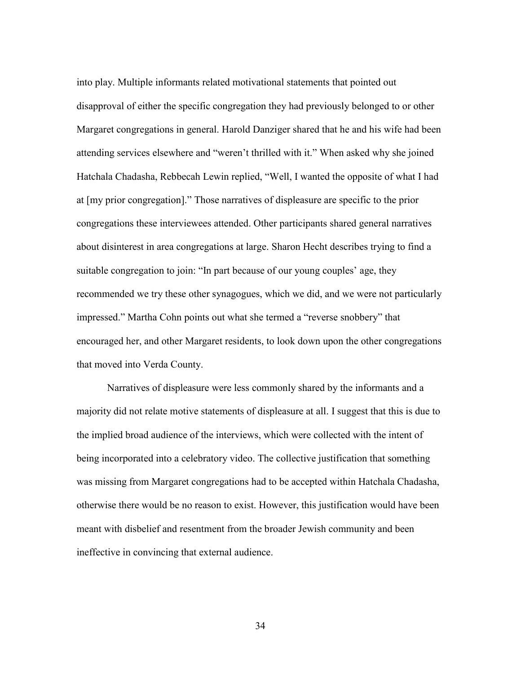into play. Multiple informants related motivational statements that pointed out disapproval of either the specific congregation they had previously belonged to or other Margaret congregations in general. Harold Danziger shared that he and his wife had been attending services elsewhere and "weren't thrilled with it." When asked why she joined Hatchala Chadasha, Rebbecah Lewin replied, "Well, I wanted the opposite of what I had at [my prior congregation]." Those narratives of displeasure are specific to the prior congregations these interviewees attended. Other participants shared general narratives about disinterest in area congregations at large. Sharon Hecht describes trying to find a suitable congregation to join: "In part because of our young couples' age, they recommended we try these other synagogues, which we did, and we were not particularly impressed." Martha Cohn points out what she termed a "reverse snobbery" that encouraged her, and other Margaret residents, to look down upon the other congregations that moved into Verda County.

Narratives of displeasure were less commonly shared by the informants and a majority did not relate motive statements of displeasure at all. I suggest that this is due to the implied broad audience of the interviews, which were collected with the intent of being incorporated into a celebratory video. The collective justification that something was missing from Margaret congregations had to be accepted within Hatchala Chadasha, otherwise there would be no reason to exist. However, this justification would have been meant with disbelief and resentment from the broader Jewish community and been ineffective in convincing that external audience.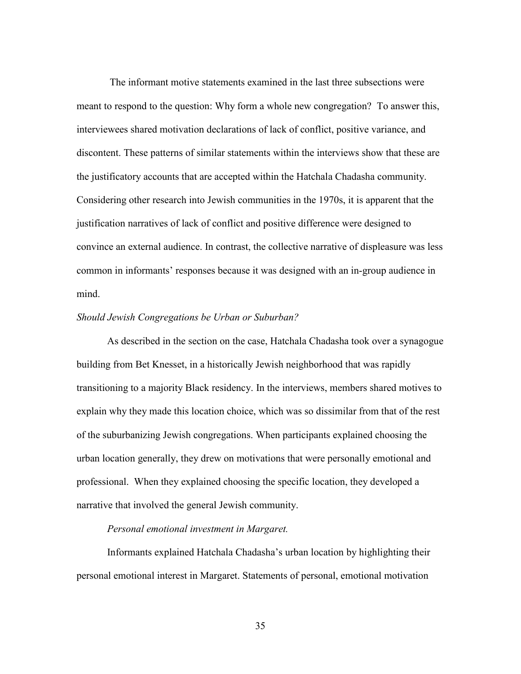The informant motive statements examined in the last three subsections were meant to respond to the question: Why form a whole new congregation? To answer this, interviewees shared motivation declarations of lack of conflict, positive variance, and discontent. These patterns of similar statements within the interviews show that these are the justificatory accounts that are accepted within the Hatchala Chadasha community. Considering other research into Jewish communities in the 1970s, it is apparent that the justification narratives of lack of conflict and positive difference were designed to convince an external audience. In contrast, the collective narrative of displeasure was less common in informants' responses because it was designed with an in-group audience in mind.

#### *Should Jewish Congregations be Urban or Suburban?*

As described in the section on the case, Hatchala Chadasha took over a synagogue building from Bet Knesset, in a historically Jewish neighborhood that was rapidly transitioning to a majority Black residency. In the interviews, members shared motives to explain why they made this location choice, which was so dissimilar from that of the rest of the suburbanizing Jewish congregations. When participants explained choosing the urban location generally, they drew on motivations that were personally emotional and professional. When they explained choosing the specific location, they developed a narrative that involved the general Jewish community.

# *Personal emotional investment in Margaret.*

Informants explained Hatchala Chadasha's urban location by highlighting their personal emotional interest in Margaret. Statements of personal, emotional motivation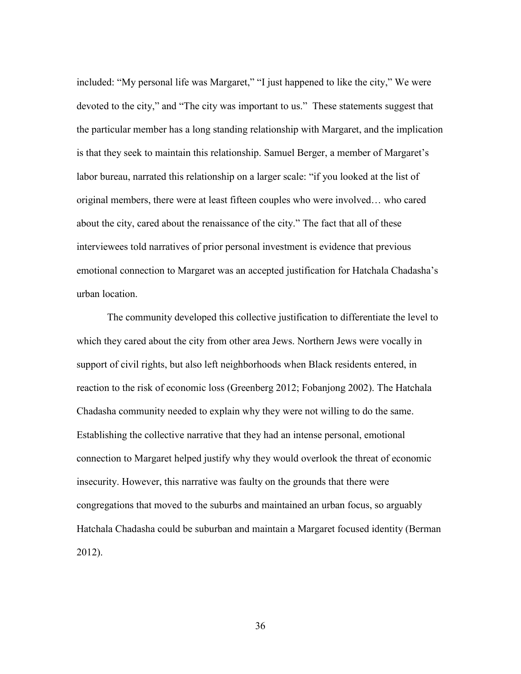included: "My personal life was Margaret," "I just happened to like the city," We were devoted to the city," and "The city was important to us." These statements suggest that the particular member has a long standing relationship with Margaret, and the implication is that they seek to maintain this relationship. Samuel Berger, a member of Margaret's labor bureau, narrated this relationship on a larger scale: "if you looked at the list of original members, there were at least fifteen couples who were involved… who cared about the city, cared about the renaissance of the city." The fact that all of these interviewees told narratives of prior personal investment is evidence that previous emotional connection to Margaret was an accepted justification for Hatchala Chadasha's urban location.

The community developed this collective justification to differentiate the level to which they cared about the city from other area Jews. Northern Jews were vocally in support of civil rights, but also left neighborhoods when Black residents entered, in reaction to the risk of economic loss (Greenberg 2012; Fobanjong 2002). The Hatchala Chadasha community needed to explain why they were not willing to do the same. Establishing the collective narrative that they had an intense personal, emotional connection to Margaret helped justify why they would overlook the threat of economic insecurity. However, this narrative was faulty on the grounds that there were congregations that moved to the suburbs and maintained an urban focus, so arguably Hatchala Chadasha could be suburban and maintain a Margaret focused identity (Berman 2012).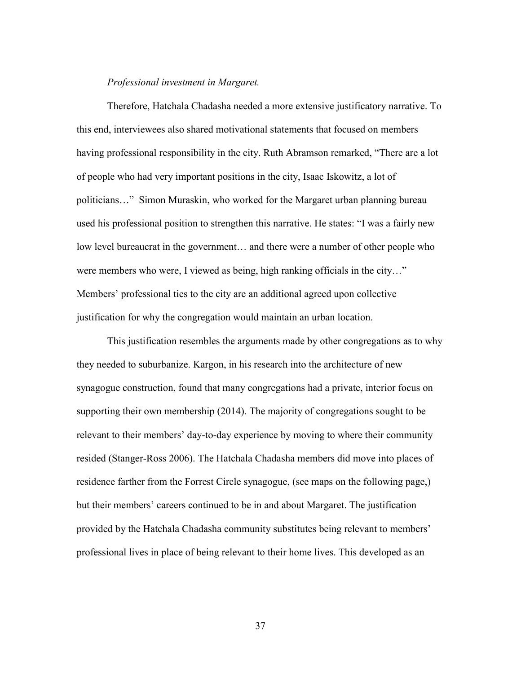# *Professional investment in Margaret.*

Therefore, Hatchala Chadasha needed a more extensive justificatory narrative. To this end, interviewees also shared motivational statements that focused on members having professional responsibility in the city. Ruth Abramson remarked, "There are a lot of people who had very important positions in the city, Isaac Iskowitz, a lot of politicians…" Simon Muraskin, who worked for the Margaret urban planning bureau used his professional position to strengthen this narrative. He states: "I was a fairly new low level bureaucrat in the government… and there were a number of other people who were members who were, I viewed as being, high ranking officials in the city…" Members' professional ties to the city are an additional agreed upon collective justification for why the congregation would maintain an urban location.

This justification resembles the arguments made by other congregations as to why they needed to suburbanize. Kargon, in his research into the architecture of new synagogue construction, found that many congregations had a private, interior focus on supporting their own membership (2014). The majority of congregations sought to be relevant to their members' day-to-day experience by moving to where their community resided (Stanger-Ross 2006). The Hatchala Chadasha members did move into places of residence farther from the Forrest Circle synagogue, (see maps on the following page,) but their members' careers continued to be in and about Margaret. The justification provided by the Hatchala Chadasha community substitutes being relevant to members' professional lives in place of being relevant to their home lives. This developed as an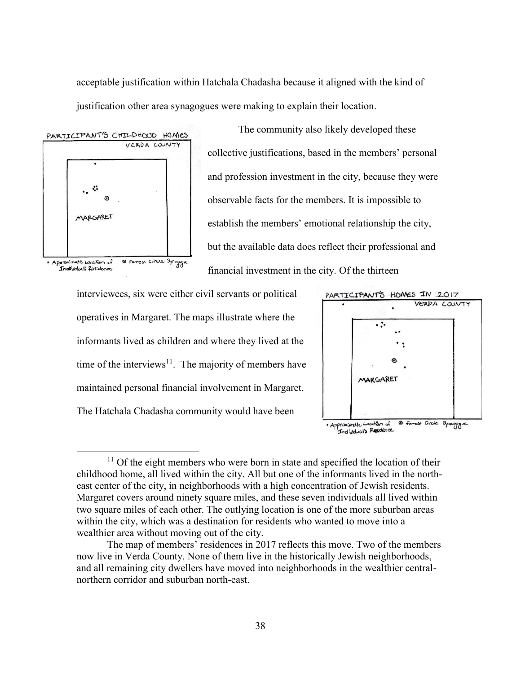acceptable justification within Hatchala Chadasha because it aligned with the kind of justification other area synagogues were making to explain their location.



The community also likely developed these collective justifications, based in the members' personal and profession investment in the city, because they were observable facts for the members. It is impossible to establish the members' emotional relationship the city, but the available data does reflect their professional and financial investment in the city. Of the thirteen

interviewees, six were either civil servants or political operatives in Margaret. The maps illustrate where the informants lived as children and where they lived at the time of the interviews<sup>11</sup>. The majority of members have maintained personal financial involvement in Margaret. The Hatchala Chadasha community would have been



<sup>·</sup> Approximate Location of

 $\overline{\phantom{a}}$  $11$  Of the eight members who were born in state and specified the location of their childhood home, all lived within the city. All but one of the informants lived in the northeast center of the city, in neighborhoods with a high concentration of Jewish residents. Margaret covers around ninety square miles, and these seven individuals all lived within two square miles of each other. The outlying location is one of the more suburban areas within the city, which was a destination for residents who wanted to move into a wealthier area without moving out of the city.

The map of members' residences in 2017 reflects this move. Two of the members now live in Verda County. None of them live in the historically Jewish neighborhoods, and all remaining city dwellers have moved into neighborhoods in the wealthier centralnorthern corridor and suburban north-east.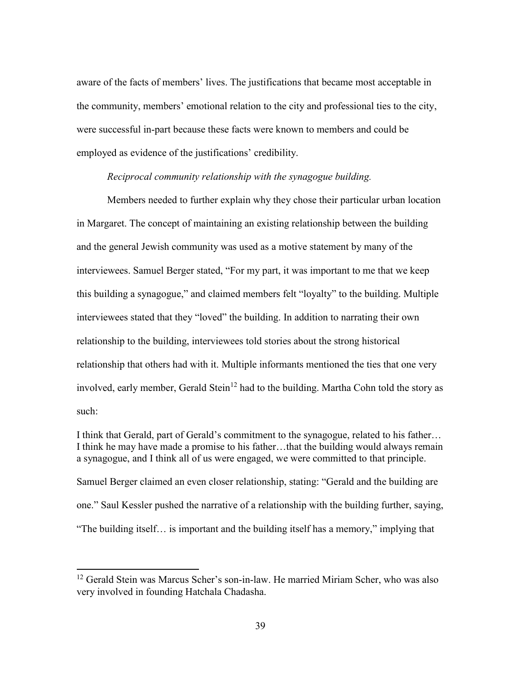aware of the facts of members' lives. The justifications that became most acceptable in the community, members' emotional relation to the city and professional ties to the city, were successful in-part because these facts were known to members and could be employed as evidence of the justifications' credibility.

## *Reciprocal community relationship with the synagogue building.*

Members needed to further explain why they chose their particular urban location in Margaret. The concept of maintaining an existing relationship between the building and the general Jewish community was used as a motive statement by many of the interviewees. Samuel Berger stated, "For my part, it was important to me that we keep this building a synagogue," and claimed members felt "loyalty" to the building. Multiple interviewees stated that they "loved" the building. In addition to narrating their own relationship to the building, interviewees told stories about the strong historical relationship that others had with it. Multiple informants mentioned the ties that one very involved, early member, Gerald Stein<sup>12</sup> had to the building. Martha Cohn told the story as such:

I think that Gerald, part of Gerald's commitment to the synagogue, related to his father… I think he may have made a promise to his father…that the building would always remain a synagogue, and I think all of us were engaged, we were committed to that principle. Samuel Berger claimed an even closer relationship, stating: "Gerald and the building are one." Saul Kessler pushed the narrative of a relationship with the building further, saying, "The building itself… is important and the building itself has a memory," implying that

 $\overline{\phantom{a}}$ 

<sup>&</sup>lt;sup>12</sup> Gerald Stein was Marcus Scher's son-in-law. He married Miriam Scher, who was also very involved in founding Hatchala Chadasha.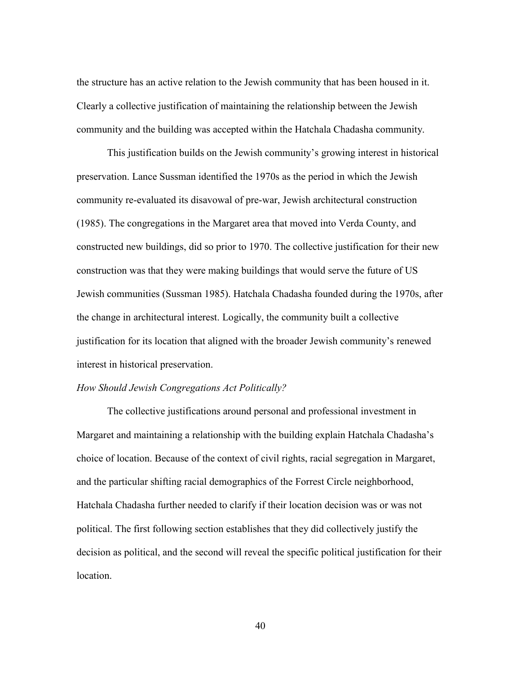the structure has an active relation to the Jewish community that has been housed in it. Clearly a collective justification of maintaining the relationship between the Jewish community and the building was accepted within the Hatchala Chadasha community.

This justification builds on the Jewish community's growing interest in historical preservation. Lance Sussman identified the 1970s as the period in which the Jewish community re-evaluated its disavowal of pre-war, Jewish architectural construction (1985). The congregations in the Margaret area that moved into Verda County, and constructed new buildings, did so prior to 1970. The collective justification for their new construction was that they were making buildings that would serve the future of US Jewish communities (Sussman 1985). Hatchala Chadasha founded during the 1970s, after the change in architectural interest. Logically, the community built a collective justification for its location that aligned with the broader Jewish community's renewed interest in historical preservation.

# *How Should Jewish Congregations Act Politically?*

The collective justifications around personal and professional investment in Margaret and maintaining a relationship with the building explain Hatchala Chadasha's choice of location. Because of the context of civil rights, racial segregation in Margaret, and the particular shifting racial demographics of the Forrest Circle neighborhood, Hatchala Chadasha further needed to clarify if their location decision was or was not political. The first following section establishes that they did collectively justify the decision as political, and the second will reveal the specific political justification for their location.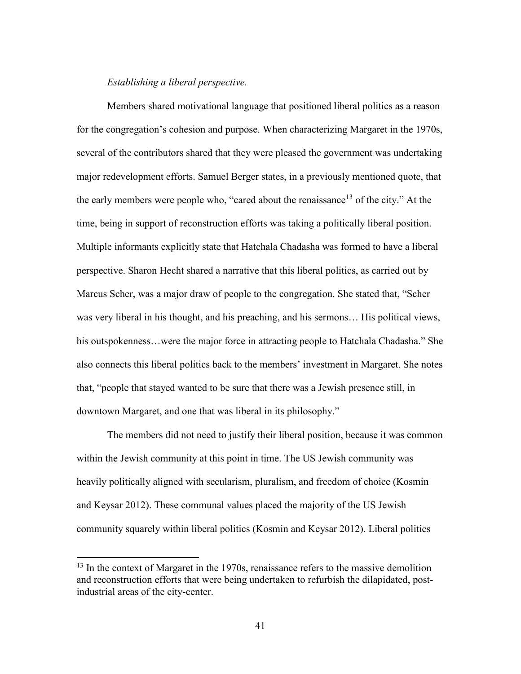# *Establishing a liberal perspective.*

Members shared motivational language that positioned liberal politics as a reason for the congregation's cohesion and purpose. When characterizing Margaret in the 1970s, several of the contributors shared that they were pleased the government was undertaking major redevelopment efforts. Samuel Berger states, in a previously mentioned quote, that the early members were people who, "cared about the renaissance<sup>13</sup> of the city." At the time, being in support of reconstruction efforts was taking a politically liberal position. Multiple informants explicitly state that Hatchala Chadasha was formed to have a liberal perspective. Sharon Hecht shared a narrative that this liberal politics, as carried out by Marcus Scher, was a major draw of people to the congregation. She stated that, "Scher was very liberal in his thought, and his preaching, and his sermons… His political views, his outspokenness...were the major force in attracting people to Hatchala Chadasha." She also connects this liberal politics back to the members' investment in Margaret. She notes that, "people that stayed wanted to be sure that there was a Jewish presence still, in downtown Margaret, and one that was liberal in its philosophy."

The members did not need to justify their liberal position, because it was common within the Jewish community at this point in time. The US Jewish community was heavily politically aligned with secularism, pluralism, and freedom of choice (Kosmin and Keysar 2012). These communal values placed the majority of the US Jewish community squarely within liberal politics (Kosmin and Keysar 2012). Liberal politics

 $\overline{\phantom{a}}$ 

<sup>&</sup>lt;sup>13</sup> In the context of Margaret in the 1970s, renaissance refers to the massive demolition and reconstruction efforts that were being undertaken to refurbish the dilapidated, postindustrial areas of the city-center.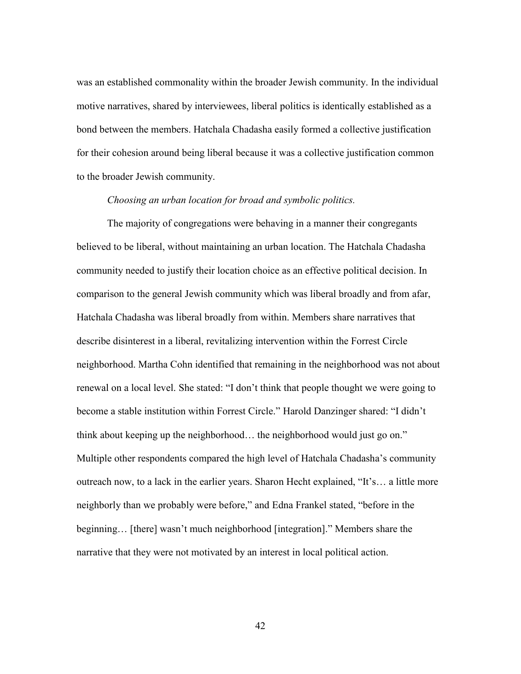was an established commonality within the broader Jewish community. In the individual motive narratives, shared by interviewees, liberal politics is identically established as a bond between the members. Hatchala Chadasha easily formed a collective justification for their cohesion around being liberal because it was a collective justification common to the broader Jewish community.

### *Choosing an urban location for broad and symbolic politics.*

The majority of congregations were behaving in a manner their congregants believed to be liberal, without maintaining an urban location. The Hatchala Chadasha community needed to justify their location choice as an effective political decision. In comparison to the general Jewish community which was liberal broadly and from afar, Hatchala Chadasha was liberal broadly from within. Members share narratives that describe disinterest in a liberal, revitalizing intervention within the Forrest Circle neighborhood. Martha Cohn identified that remaining in the neighborhood was not about renewal on a local level. She stated: "I don't think that people thought we were going to become a stable institution within Forrest Circle." Harold Danzinger shared: "I didn't think about keeping up the neighborhood… the neighborhood would just go on." Multiple other respondents compared the high level of Hatchala Chadasha's community outreach now, to a lack in the earlier years. Sharon Hecht explained, "It's… a little more neighborly than we probably were before," and Edna Frankel stated, "before in the beginning… [there] wasn't much neighborhood [integration]." Members share the narrative that they were not motivated by an interest in local political action.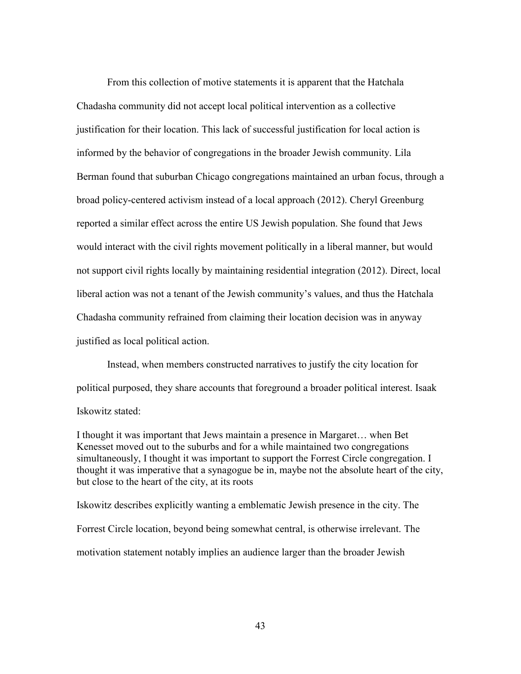From this collection of motive statements it is apparent that the Hatchala Chadasha community did not accept local political intervention as a collective justification for their location. This lack of successful justification for local action is informed by the behavior of congregations in the broader Jewish community. Lila Berman found that suburban Chicago congregations maintained an urban focus, through a broad policy-centered activism instead of a local approach (2012). Cheryl Greenburg reported a similar effect across the entire US Jewish population. She found that Jews would interact with the civil rights movement politically in a liberal manner, but would not support civil rights locally by maintaining residential integration (2012). Direct, local liberal action was not a tenant of the Jewish community's values, and thus the Hatchala Chadasha community refrained from claiming their location decision was in anyway justified as local political action.

Instead, when members constructed narratives to justify the city location for political purposed, they share accounts that foreground a broader political interest. Isaak Iskowitz stated:

I thought it was important that Jews maintain a presence in Margaret… when Bet Kenesset moved out to the suburbs and for a while maintained two congregations simultaneously, I thought it was important to support the Forrest Circle congregation. I thought it was imperative that a synagogue be in, maybe not the absolute heart of the city, but close to the heart of the city, at its roots

Iskowitz describes explicitly wanting a emblematic Jewish presence in the city. The Forrest Circle location, beyond being somewhat central, is otherwise irrelevant. The motivation statement notably implies an audience larger than the broader Jewish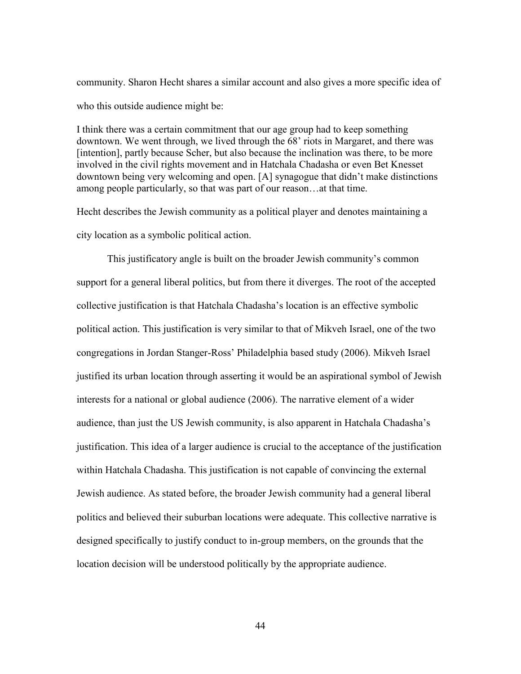community. Sharon Hecht shares a similar account and also gives a more specific idea of who this outside audience might be:

I think there was a certain commitment that our age group had to keep something downtown. We went through, we lived through the 68' riots in Margaret, and there was [intention], partly because Scher, but also because the inclination was there, to be more involved in the civil rights movement and in Hatchala Chadasha or even Bet Knesset downtown being very welcoming and open. [A] synagogue that didn't make distinctions among people particularly, so that was part of our reason…at that time.

Hecht describes the Jewish community as a political player and denotes maintaining a city location as a symbolic political action.

This justificatory angle is built on the broader Jewish community's common support for a general liberal politics, but from there it diverges. The root of the accepted collective justification is that Hatchala Chadasha's location is an effective symbolic political action. This justification is very similar to that of Mikveh Israel, one of the two congregations in Jordan Stanger-Ross' Philadelphia based study (2006). Mikveh Israel justified its urban location through asserting it would be an aspirational symbol of Jewish interests for a national or global audience (2006). The narrative element of a wider audience, than just the US Jewish community, is also apparent in Hatchala Chadasha's justification. This idea of a larger audience is crucial to the acceptance of the justification within Hatchala Chadasha. This justification is not capable of convincing the external Jewish audience. As stated before, the broader Jewish community had a general liberal politics and believed their suburban locations were adequate. This collective narrative is designed specifically to justify conduct to in-group members, on the grounds that the location decision will be understood politically by the appropriate audience.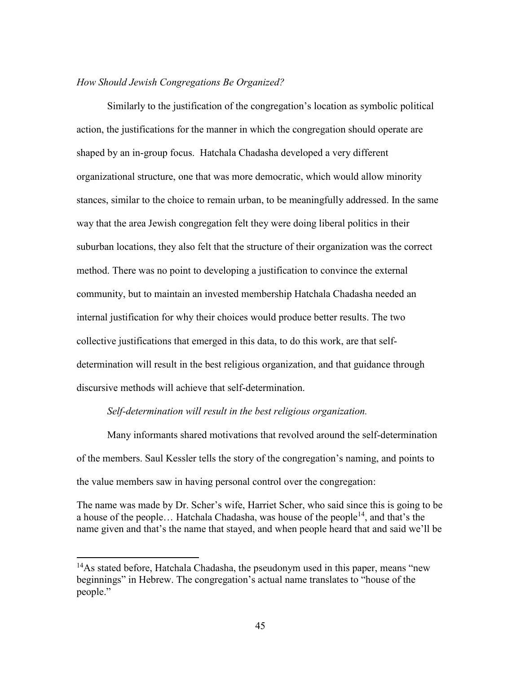# *How Should Jewish Congregations Be Organized?*

Similarly to the justification of the congregation's location as symbolic political action, the justifications for the manner in which the congregation should operate are shaped by an in-group focus. Hatchala Chadasha developed a very different organizational structure, one that was more democratic, which would allow minority stances, similar to the choice to remain urban, to be meaningfully addressed. In the same way that the area Jewish congregation felt they were doing liberal politics in their suburban locations, they also felt that the structure of their organization was the correct method. There was no point to developing a justification to convince the external community, but to maintain an invested membership Hatchala Chadasha needed an internal justification for why their choices would produce better results. The two collective justifications that emerged in this data, to do this work, are that selfdetermination will result in the best religious organization, and that guidance through discursive methods will achieve that self-determination.

## *Self-determination will result in the best religious organization.*

Many informants shared motivations that revolved around the self-determination of the members. Saul Kessler tells the story of the congregation's naming, and points to the value members saw in having personal control over the congregation:

The name was made by Dr. Scher's wife, Harriet Scher, who said since this is going to be a house of the people... Hatchala Chadasha, was house of the people<sup>14</sup>, and that's the name given and that's the name that stayed, and when people heard that and said we'll be

 $\overline{\phantom{a}}$ 

<sup>&</sup>lt;sup>14</sup>As stated before, Hatchala Chadasha, the pseudonym used in this paper, means "new beginnings" in Hebrew. The congregation's actual name translates to "house of the people."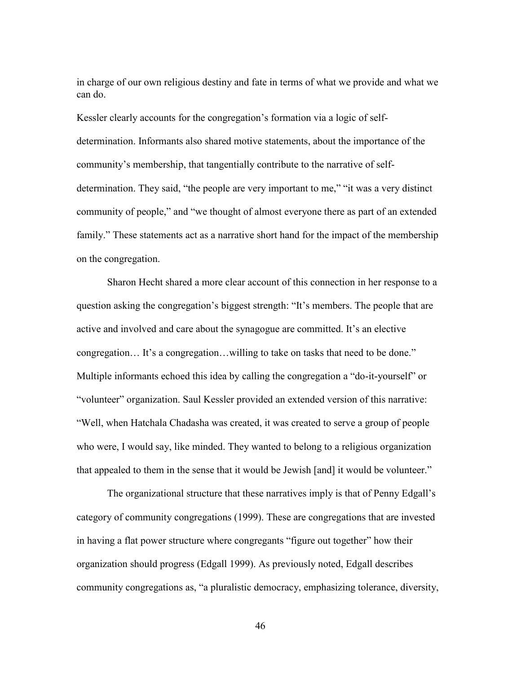in charge of our own religious destiny and fate in terms of what we provide and what we can do.

Kessler clearly accounts for the congregation's formation via a logic of selfdetermination. Informants also shared motive statements, about the importance of the community's membership, that tangentially contribute to the narrative of selfdetermination. They said, "the people are very important to me," "it was a very distinct community of people," and "we thought of almost everyone there as part of an extended family." These statements act as a narrative short hand for the impact of the membership on the congregation.

Sharon Hecht shared a more clear account of this connection in her response to a question asking the congregation's biggest strength: "It's members. The people that are active and involved and care about the synagogue are committed. It's an elective congregation… It's a congregation…willing to take on tasks that need to be done." Multiple informants echoed this idea by calling the congregation a "do-it-yourself" or "volunteer" organization. Saul Kessler provided an extended version of this narrative: "Well, when Hatchala Chadasha was created, it was created to serve a group of people who were, I would say, like minded. They wanted to belong to a religious organization that appealed to them in the sense that it would be Jewish [and] it would be volunteer."

The organizational structure that these narratives imply is that of Penny Edgall's category of community congregations (1999). These are congregations that are invested in having a flat power structure where congregants "figure out together" how their organization should progress (Edgall 1999). As previously noted, Edgall describes community congregations as, "a pluralistic democracy, emphasizing tolerance, diversity,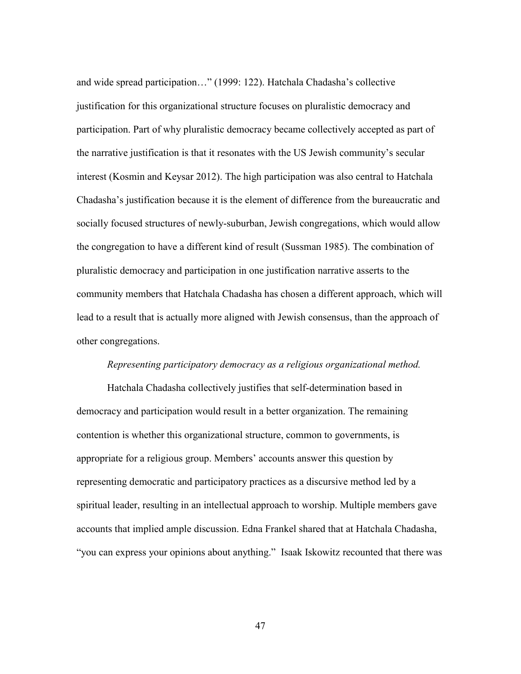and wide spread participation…" (1999: 122). Hatchala Chadasha's collective justification for this organizational structure focuses on pluralistic democracy and participation. Part of why pluralistic democracy became collectively accepted as part of the narrative justification is that it resonates with the US Jewish community's secular interest (Kosmin and Keysar 2012). The high participation was also central to Hatchala Chadasha's justification because it is the element of difference from the bureaucratic and socially focused structures of newly-suburban, Jewish congregations, which would allow the congregation to have a different kind of result (Sussman 1985). The combination of pluralistic democracy and participation in one justification narrative asserts to the community members that Hatchala Chadasha has chosen a different approach, which will lead to a result that is actually more aligned with Jewish consensus, than the approach of other congregations.

### *Representing participatory democracy as a religious organizational method.*

Hatchala Chadasha collectively justifies that self-determination based in democracy and participation would result in a better organization. The remaining contention is whether this organizational structure, common to governments, is appropriate for a religious group. Members' accounts answer this question by representing democratic and participatory practices as a discursive method led by a spiritual leader, resulting in an intellectual approach to worship. Multiple members gave accounts that implied ample discussion. Edna Frankel shared that at Hatchala Chadasha, "you can express your opinions about anything." Isaak Iskowitz recounted that there was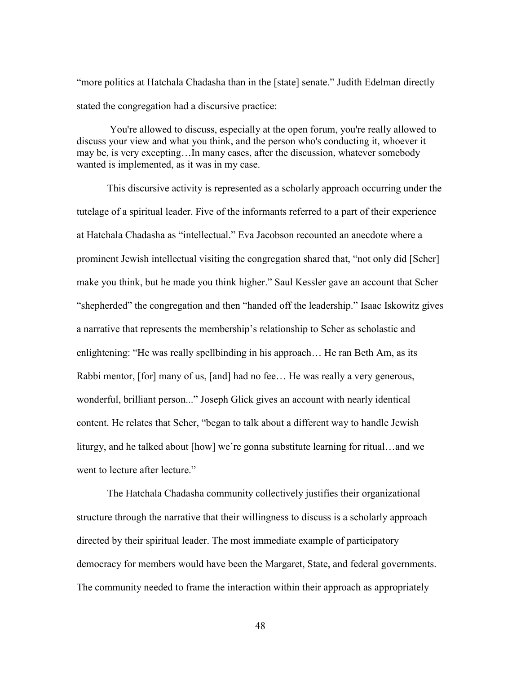"more politics at Hatchala Chadasha than in the [state] senate." Judith Edelman directly stated the congregation had a discursive practice:

You're allowed to discuss, especially at the open forum, you're really allowed to discuss your view and what you think, and the person who's conducting it, whoever it may be, is very excepting…In many cases, after the discussion, whatever somebody wanted is implemented, as it was in my case.

This discursive activity is represented as a scholarly approach occurring under the tutelage of a spiritual leader. Five of the informants referred to a part of their experience at Hatchala Chadasha as "intellectual." Eva Jacobson recounted an anecdote where a prominent Jewish intellectual visiting the congregation shared that, "not only did [Scher] make you think, but he made you think higher." Saul Kessler gave an account that Scher "shepherded" the congregation and then "handed off the leadership." Isaac Iskowitz gives a narrative that represents the membership's relationship to Scher as scholastic and enlightening: "He was really spellbinding in his approach… He ran Beth Am, as its Rabbi mentor, [for] many of us, [and] had no fee... He was really a very generous, wonderful, brilliant person..." Joseph Glick gives an account with nearly identical content. He relates that Scher, "began to talk about a different way to handle Jewish liturgy, and he talked about [how] we're gonna substitute learning for ritual…and we went to lecture after lecture."

The Hatchala Chadasha community collectively justifies their organizational structure through the narrative that their willingness to discuss is a scholarly approach directed by their spiritual leader. The most immediate example of participatory democracy for members would have been the Margaret, State, and federal governments. The community needed to frame the interaction within their approach as appropriately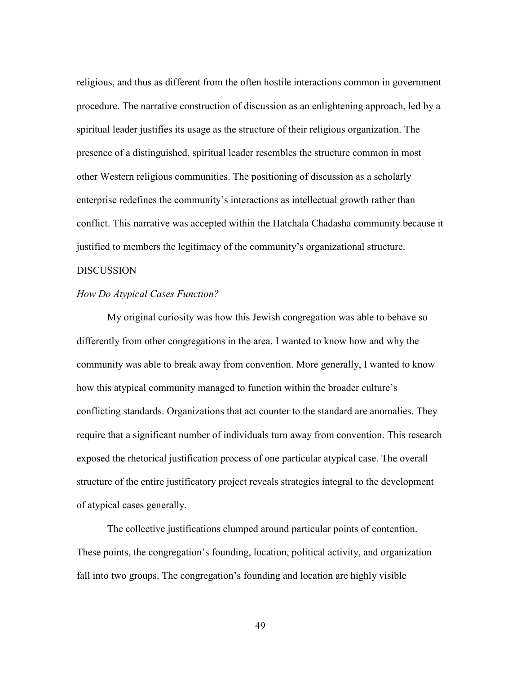religious, and thus as different from the often hostile interactions common in government procedure. The narrative construction of discussion as an enlightening approach, led by a spiritual leader justifies its usage as the structure of their religious organization. The presence of a distinguished, spiritual leader resembles the structure common in most other Western religious communities. The positioning of discussion as a scholarly enterprise redefines the community's interactions as intellectual growth rather than conflict. This narrative was accepted within the Hatchala Chadasha community because it justified to members the legitimacy of the community's organizational structure.

# DISCUSSION

## *How Do Atypical Cases Function?*

My original curiosity was how this Jewish congregation was able to behave so differently from other congregations in the area. I wanted to know how and why the community was able to break away from convention. More generally, I wanted to know how this atypical community managed to function within the broader culture's conflicting standards. Organizations that act counter to the standard are anomalies. They require that a significant number of individuals turn away from convention. This research exposed the rhetorical justification process of one particular atypical case. The overall structure of the entire justificatory project reveals strategies integral to the development of atypical cases generally.

The collective justifications clumped around particular points of contention. These points, the congregation's founding, location, political activity, and organization fall into two groups. The congregation's founding and location are highly visible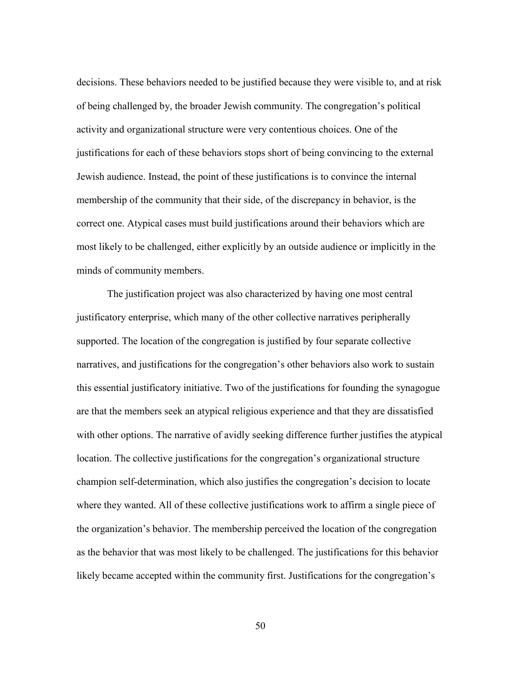decisions. These behaviors needed to be justified because they were visible to, and at risk of being challenged by, the broader Jewish community. The congregation's political activity and organizational structure were very contentious choices. One of the justifications for each of these behaviors stops short of being convincing to the external Jewish audience. Instead, the point of these justifications is to convince the internal membership of the community that their side, of the discrepancy in behavior, is the correct one. Atypical cases must build justifications around their behaviors which are most likely to be challenged, either explicitly by an outside audience or implicitly in the minds of community members.

The justification project was also characterized by having one most central justificatory enterprise, which many of the other collective narratives peripherally supported. The location of the congregation is justified by four separate collective narratives, and justifications for the congregation's other behaviors also work to sustain this essential justificatory initiative. Two of the justifications for founding the synagogue are that the members seek an atypical religious experience and that they are dissatisfied with other options. The narrative of avidly seeking difference further justifies the atypical location. The collective justifications for the congregation's organizational structure champion self-determination, which also justifies the congregation's decision to locate where they wanted. All of these collective justifications work to affirm a single piece of the organization's behavior. The membership perceived the location of the congregation as the behavior that was most likely to be challenged. The justifications for this behavior likely became accepted within the community first. Justifications for the congregation's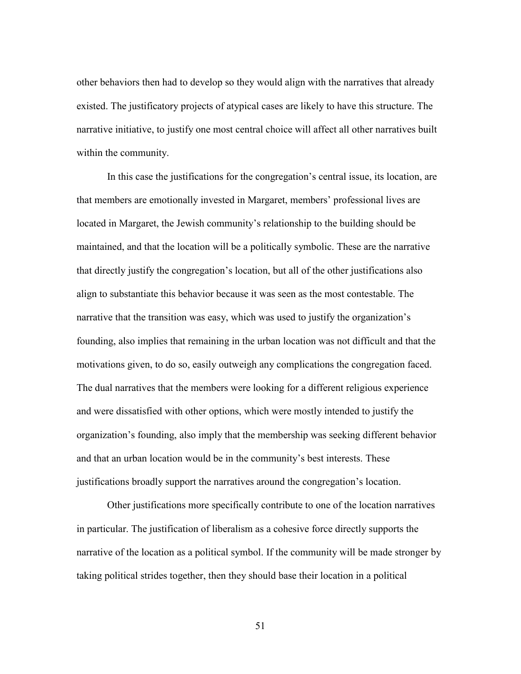other behaviors then had to develop so they would align with the narratives that already existed. The justificatory projects of atypical cases are likely to have this structure. The narrative initiative, to justify one most central choice will affect all other narratives built within the community.

In this case the justifications for the congregation's central issue, its location, are that members are emotionally invested in Margaret, members' professional lives are located in Margaret, the Jewish community's relationship to the building should be maintained, and that the location will be a politically symbolic. These are the narrative that directly justify the congregation's location, but all of the other justifications also align to substantiate this behavior because it was seen as the most contestable. The narrative that the transition was easy, which was used to justify the organization's founding, also implies that remaining in the urban location was not difficult and that the motivations given, to do so, easily outweigh any complications the congregation faced. The dual narratives that the members were looking for a different religious experience and were dissatisfied with other options, which were mostly intended to justify the organization's founding, also imply that the membership was seeking different behavior and that an urban location would be in the community's best interests. These justifications broadly support the narratives around the congregation's location.

Other justifications more specifically contribute to one of the location narratives in particular. The justification of liberalism as a cohesive force directly supports the narrative of the location as a political symbol. If the community will be made stronger by taking political strides together, then they should base their location in a political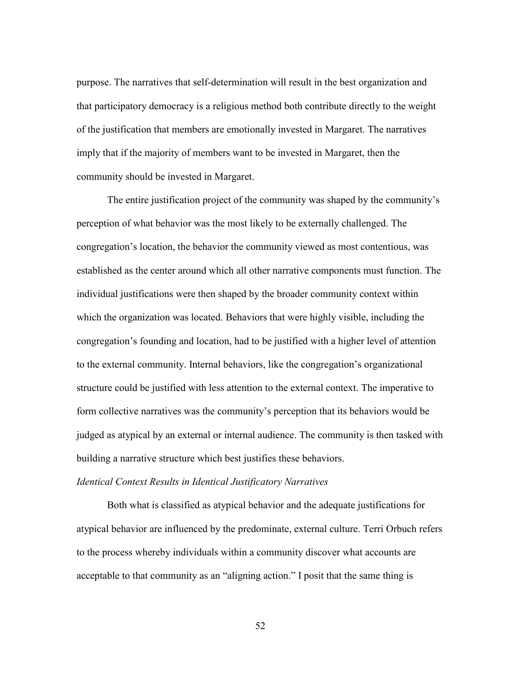purpose. The narratives that self-determination will result in the best organization and that participatory democracy is a religious method both contribute directly to the weight of the justification that members are emotionally invested in Margaret. The narratives imply that if the majority of members want to be invested in Margaret, then the community should be invested in Margaret.

The entire justification project of the community was shaped by the community's perception of what behavior was the most likely to be externally challenged. The congregation's location, the behavior the community viewed as most contentious, was established as the center around which all other narrative components must function. The individual justifications were then shaped by the broader community context within which the organization was located. Behaviors that were highly visible, including the congregation's founding and location, had to be justified with a higher level of attention to the external community. Internal behaviors, like the congregation's organizational structure could be justified with less attention to the external context. The imperative to form collective narratives was the community's perception that its behaviors would be judged as atypical by an external or internal audience. The community is then tasked with building a narrative structure which best justifies these behaviors.

# *Identical Context Results in Identical Justificatory Narratives*

Both what is classified as atypical behavior and the adequate justifications for atypical behavior are influenced by the predominate, external culture. Terri Orbuch refers to the process whereby individuals within a community discover what accounts are acceptable to that community as an "aligning action." I posit that the same thing is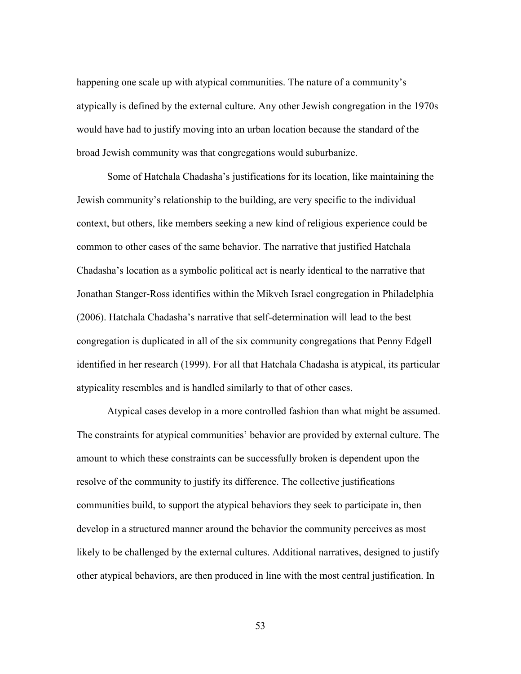happening one scale up with atypical communities. The nature of a community's atypically is defined by the external culture. Any other Jewish congregation in the 1970s would have had to justify moving into an urban location because the standard of the broad Jewish community was that congregations would suburbanize.

Some of Hatchala Chadasha's justifications for its location, like maintaining the Jewish community's relationship to the building, are very specific to the individual context, but others, like members seeking a new kind of religious experience could be common to other cases of the same behavior. The narrative that justified Hatchala Chadasha's location as a symbolic political act is nearly identical to the narrative that Jonathan Stanger-Ross identifies within the Mikveh Israel congregation in Philadelphia (2006). Hatchala Chadasha's narrative that self-determination will lead to the best congregation is duplicated in all of the six community congregations that Penny Edgell identified in her research (1999). For all that Hatchala Chadasha is atypical, its particular atypicality resembles and is handled similarly to that of other cases.

Atypical cases develop in a more controlled fashion than what might be assumed. The constraints for atypical communities' behavior are provided by external culture. The amount to which these constraints can be successfully broken is dependent upon the resolve of the community to justify its difference. The collective justifications communities build, to support the atypical behaviors they seek to participate in, then develop in a structured manner around the behavior the community perceives as most likely to be challenged by the external cultures. Additional narratives, designed to justify other atypical behaviors, are then produced in line with the most central justification. In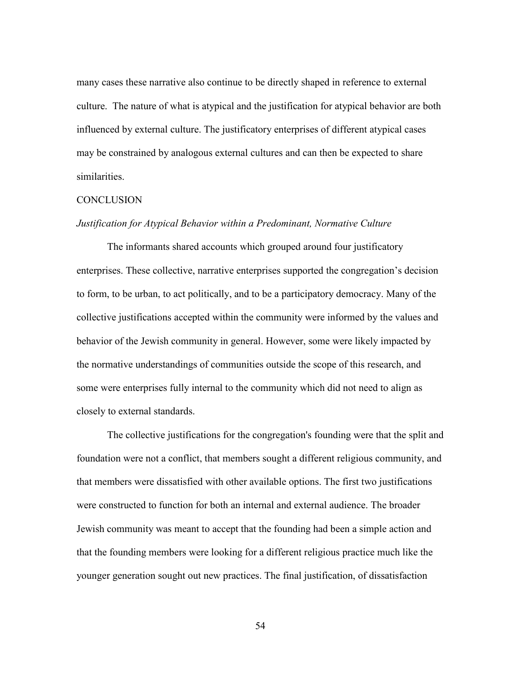many cases these narrative also continue to be directly shaped in reference to external culture. The nature of what is atypical and the justification for atypical behavior are both influenced by external culture. The justificatory enterprises of different atypical cases may be constrained by analogous external cultures and can then be expected to share similarities.

# **CONCLUSION**

### *Justification for Atypical Behavior within a Predominant, Normative Culture*

The informants shared accounts which grouped around four justificatory enterprises. These collective, narrative enterprises supported the congregation's decision to form, to be urban, to act politically, and to be a participatory democracy. Many of the collective justifications accepted within the community were informed by the values and behavior of the Jewish community in general. However, some were likely impacted by the normative understandings of communities outside the scope of this research, and some were enterprises fully internal to the community which did not need to align as closely to external standards.

The collective justifications for the congregation's founding were that the split and foundation were not a conflict, that members sought a different religious community, and that members were dissatisfied with other available options. The first two justifications were constructed to function for both an internal and external audience. The broader Jewish community was meant to accept that the founding had been a simple action and that the founding members were looking for a different religious practice much like the younger generation sought out new practices. The final justification, of dissatisfaction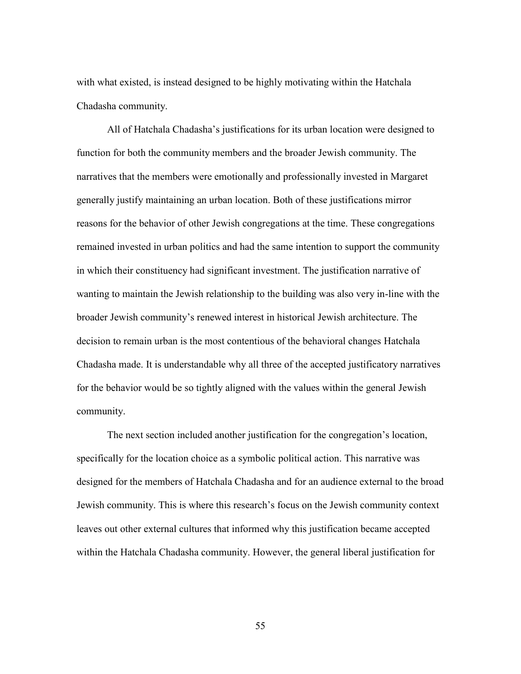with what existed, is instead designed to be highly motivating within the Hatchala Chadasha community.

All of Hatchala Chadasha's justifications for its urban location were designed to function for both the community members and the broader Jewish community. The narratives that the members were emotionally and professionally invested in Margaret generally justify maintaining an urban location. Both of these justifications mirror reasons for the behavior of other Jewish congregations at the time. These congregations remained invested in urban politics and had the same intention to support the community in which their constituency had significant investment. The justification narrative of wanting to maintain the Jewish relationship to the building was also very in-line with the broader Jewish community's renewed interest in historical Jewish architecture. The decision to remain urban is the most contentious of the behavioral changes Hatchala Chadasha made. It is understandable why all three of the accepted justificatory narratives for the behavior would be so tightly aligned with the values within the general Jewish community.

The next section included another justification for the congregation's location, specifically for the location choice as a symbolic political action. This narrative was designed for the members of Hatchala Chadasha and for an audience external to the broad Jewish community. This is where this research's focus on the Jewish community context leaves out other external cultures that informed why this justification became accepted within the Hatchala Chadasha community. However, the general liberal justification for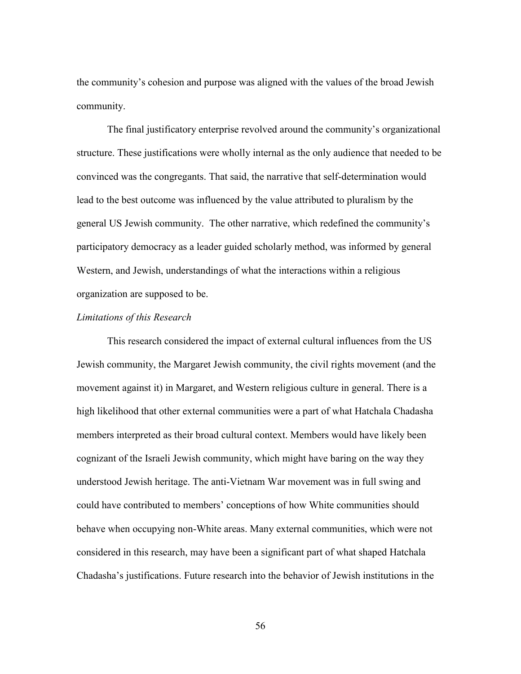the community's cohesion and purpose was aligned with the values of the broad Jewish community.

The final justificatory enterprise revolved around the community's organizational structure. These justifications were wholly internal as the only audience that needed to be convinced was the congregants. That said, the narrative that self-determination would lead to the best outcome was influenced by the value attributed to pluralism by the general US Jewish community. The other narrative, which redefined the community's participatory democracy as a leader guided scholarly method, was informed by general Western, and Jewish, understandings of what the interactions within a religious organization are supposed to be.

#### *Limitations of this Research*

This research considered the impact of external cultural influences from the US Jewish community, the Margaret Jewish community, the civil rights movement (and the movement against it) in Margaret, and Western religious culture in general. There is a high likelihood that other external communities were a part of what Hatchala Chadasha members interpreted as their broad cultural context. Members would have likely been cognizant of the Israeli Jewish community, which might have baring on the way they understood Jewish heritage. The anti-Vietnam War movement was in full swing and could have contributed to members' conceptions of how White communities should behave when occupying non-White areas. Many external communities, which were not considered in this research, may have been a significant part of what shaped Hatchala Chadasha's justifications. Future research into the behavior of Jewish institutions in the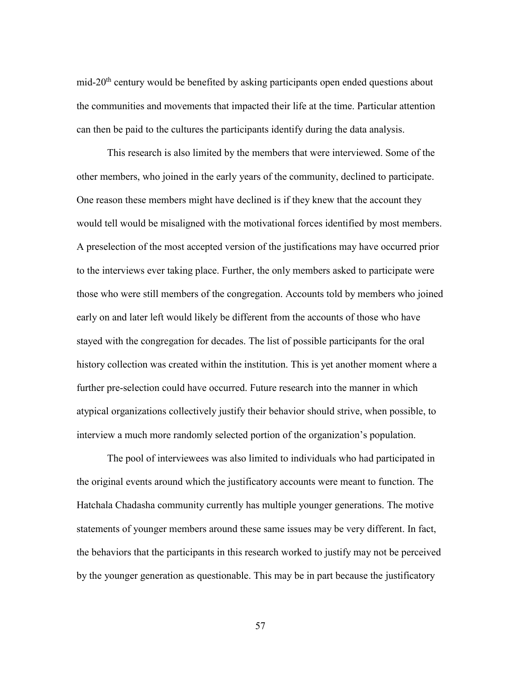mid-20<sup>th</sup> century would be benefited by asking participants open ended questions about the communities and movements that impacted their life at the time. Particular attention can then be paid to the cultures the participants identify during the data analysis.

This research is also limited by the members that were interviewed. Some of the other members, who joined in the early years of the community, declined to participate. One reason these members might have declined is if they knew that the account they would tell would be misaligned with the motivational forces identified by most members. A preselection of the most accepted version of the justifications may have occurred prior to the interviews ever taking place. Further, the only members asked to participate were those who were still members of the congregation. Accounts told by members who joined early on and later left would likely be different from the accounts of those who have stayed with the congregation for decades. The list of possible participants for the oral history collection was created within the institution. This is yet another moment where a further pre-selection could have occurred. Future research into the manner in which atypical organizations collectively justify their behavior should strive, when possible, to interview a much more randomly selected portion of the organization's population.

The pool of interviewees was also limited to individuals who had participated in the original events around which the justificatory accounts were meant to function. The Hatchala Chadasha community currently has multiple younger generations. The motive statements of younger members around these same issues may be very different. In fact, the behaviors that the participants in this research worked to justify may not be perceived by the younger generation as questionable. This may be in part because the justificatory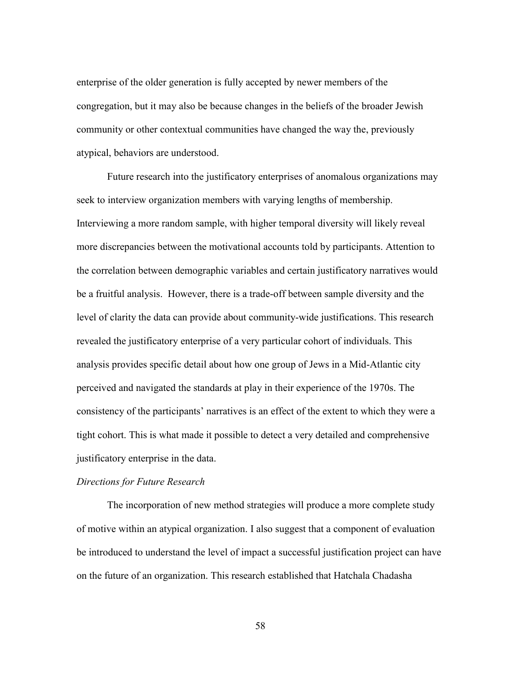enterprise of the older generation is fully accepted by newer members of the congregation, but it may also be because changes in the beliefs of the broader Jewish community or other contextual communities have changed the way the, previously atypical, behaviors are understood.

Future research into the justificatory enterprises of anomalous organizations may seek to interview organization members with varying lengths of membership. Interviewing a more random sample, with higher temporal diversity will likely reveal more discrepancies between the motivational accounts told by participants. Attention to the correlation between demographic variables and certain justificatory narratives would be a fruitful analysis. However, there is a trade-off between sample diversity and the level of clarity the data can provide about community-wide justifications. This research revealed the justificatory enterprise of a very particular cohort of individuals. This analysis provides specific detail about how one group of Jews in a Mid-Atlantic city perceived and navigated the standards at play in their experience of the 1970s. The consistency of the participants' narratives is an effect of the extent to which they were a tight cohort. This is what made it possible to detect a very detailed and comprehensive justificatory enterprise in the data.

# *Directions for Future Research*

The incorporation of new method strategies will produce a more complete study of motive within an atypical organization. I also suggest that a component of evaluation be introduced to understand the level of impact a successful justification project can have on the future of an organization. This research established that Hatchala Chadasha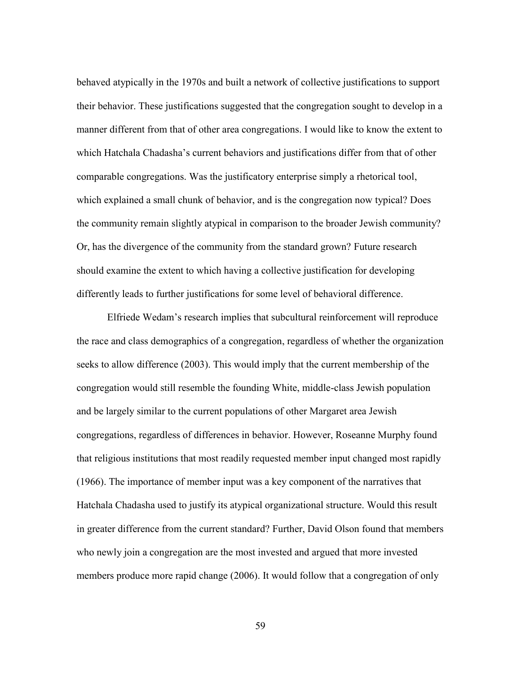behaved atypically in the 1970s and built a network of collective justifications to support their behavior. These justifications suggested that the congregation sought to develop in a manner different from that of other area congregations. I would like to know the extent to which Hatchala Chadasha's current behaviors and justifications differ from that of other comparable congregations. Was the justificatory enterprise simply a rhetorical tool, which explained a small chunk of behavior, and is the congregation now typical? Does the community remain slightly atypical in comparison to the broader Jewish community? Or, has the divergence of the community from the standard grown? Future research should examine the extent to which having a collective justification for developing differently leads to further justifications for some level of behavioral difference.

Elfriede Wedam's research implies that subcultural reinforcement will reproduce the race and class demographics of a congregation, regardless of whether the organization seeks to allow difference (2003). This would imply that the current membership of the congregation would still resemble the founding White, middle-class Jewish population and be largely similar to the current populations of other Margaret area Jewish congregations, regardless of differences in behavior. However, Roseanne Murphy found that religious institutions that most readily requested member input changed most rapidly (1966). The importance of member input was a key component of the narratives that Hatchala Chadasha used to justify its atypical organizational structure. Would this result in greater difference from the current standard? Further, David Olson found that members who newly join a congregation are the most invested and argued that more invested members produce more rapid change (2006). It would follow that a congregation of only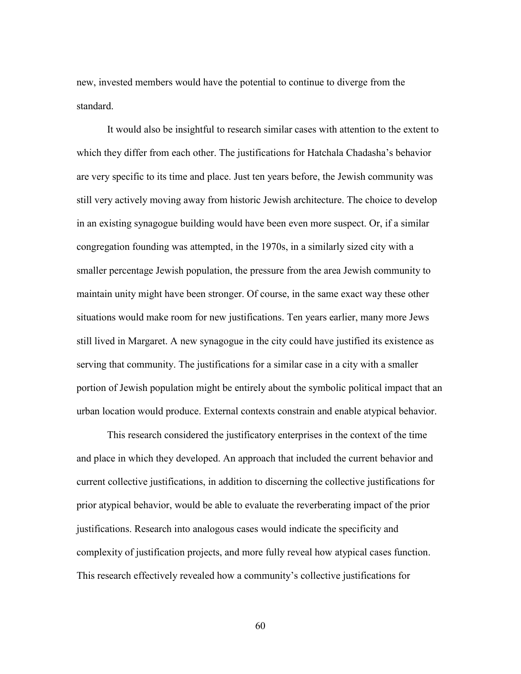new, invested members would have the potential to continue to diverge from the standard.

It would also be insightful to research similar cases with attention to the extent to which they differ from each other. The justifications for Hatchala Chadasha's behavior are very specific to its time and place. Just ten years before, the Jewish community was still very actively moving away from historic Jewish architecture. The choice to develop in an existing synagogue building would have been even more suspect. Or, if a similar congregation founding was attempted, in the 1970s, in a similarly sized city with a smaller percentage Jewish population, the pressure from the area Jewish community to maintain unity might have been stronger. Of course, in the same exact way these other situations would make room for new justifications. Ten years earlier, many more Jews still lived in Margaret. A new synagogue in the city could have justified its existence as serving that community. The justifications for a similar case in a city with a smaller portion of Jewish population might be entirely about the symbolic political impact that an urban location would produce. External contexts constrain and enable atypical behavior.

This research considered the justificatory enterprises in the context of the time and place in which they developed. An approach that included the current behavior and current collective justifications, in addition to discerning the collective justifications for prior atypical behavior, would be able to evaluate the reverberating impact of the prior justifications. Research into analogous cases would indicate the specificity and complexity of justification projects, and more fully reveal how atypical cases function. This research effectively revealed how a community's collective justifications for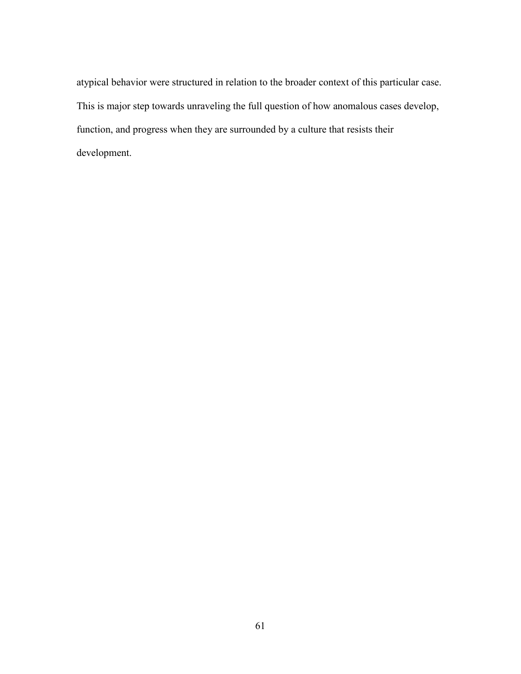atypical behavior were structured in relation to the broader context of this particular case. This is major step towards unraveling the full question of how anomalous cases develop, function, and progress when they are surrounded by a culture that resists their development.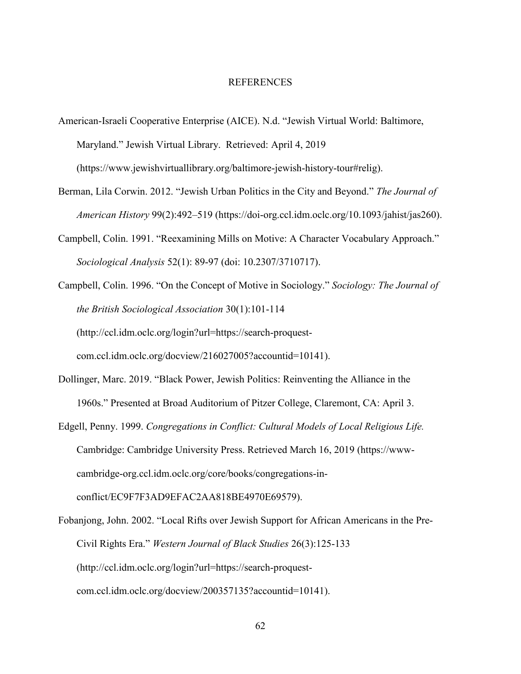### REFERENCES

- American-Israeli Cooperative Enterprise (AICE). N.d. "Jewish Virtual World: Baltimore, Maryland." Jewish Virtual Library. Retrieved: April 4, 2019 (https://www.jewishvirtuallibrary.org/baltimore-jewish-history-tour#relig).
- Berman, Lila Corwin. 2012. "Jewish Urban Politics in the City and Beyond." *The Journal of American History* 99(2):492–519 (https://doi-org.ccl.idm.oclc.org/10.1093/jahist/jas260).
- Campbell, Colin. 1991. "Reexamining Mills on Motive: A Character Vocabulary Approach." *Sociological Analysis* 52(1): 89-97 (doi: 10.2307/3710717).
- Campbell, Colin. 1996. "On the Concept of Motive in Sociology." *Sociology: The Journal of the British Sociological Association* 30(1):101-114 (http://ccl.idm.oclc.org/login?url=https://search-proquestcom.ccl.idm.oclc.org/docview/216027005?accountid=10141).
- Dollinger, Marc. 2019. "Black Power, Jewish Politics: Reinventing the Alliance in the 1960s." Presented at Broad Auditorium of Pitzer College, Claremont, CA: April 3.
- Edgell, Penny. 1999. *Congregations in Conflict: Cultural Models of Local Religious Life.* Cambridge: Cambridge University Press. Retrieved March 16, 2019 (https://wwwcambridge-org.ccl.idm.oclc.org/core/books/congregations-inconflict/EC9F7F3AD9EFAC2AA818BE4970E69579).
- Fobanjong, John. 2002. "Local Rifts over Jewish Support for African Americans in the Pre-Civil Rights Era." *Western Journal of Black Studies* 26(3):125-133 (http://ccl.idm.oclc.org/login?url=https://search-proquestcom.ccl.idm.oclc.org/docview/200357135?accountid=10141).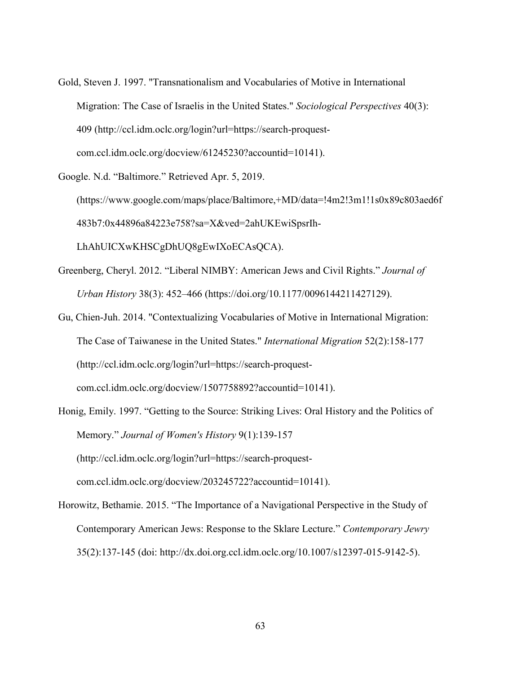- Gold, Steven J. 1997. "Transnationalism and Vocabularies of Motive in International Migration: The Case of Israelis in the United States." *Sociological Perspectives* 40(3): 409 (http://ccl.idm.oclc.org/login?url=https://search-proquestcom.ccl.idm.oclc.org/docview/61245230?accountid=10141).
- Google. N.d. "Baltimore." Retrieved Apr. 5, 2019. (https://www.google.com/maps/place/Baltimore,+MD/data=!4m2!3m1!1s0x89c803aed6f 483b7:0x44896a84223e758?sa=X&ved=2ahUKEwiSpsrIh-

LhAhUICXwKHSCgDhUQ8gEwIXoECAsQCA).

- Greenberg, Cheryl. 2012. "Liberal NIMBY: American Jews and Civil Rights." *Journal of Urban History* 38(3): 452–466 (https://doi.org/10.1177/0096144211427129).
- Gu, Chien-Juh. 2014. "Contextualizing Vocabularies of Motive in International Migration: The Case of Taiwanese in the United States." *International Migration* 52(2):158-177 (http://ccl.idm.oclc.org/login?url=https://search-proquestcom.ccl.idm.oclc.org/docview/1507758892?accountid=10141).
- Honig, Emily. 1997. "Getting to the Source: Striking Lives: Oral History and the Politics of Memory." *Journal of Women's History* 9(1):139-157 (http://ccl.idm.oclc.org/login?url=https://search-proquestcom.ccl.idm.oclc.org/docview/203245722?accountid=10141).
- Horowitz, Bethamie. 2015. "The Importance of a Navigational Perspective in the Study of Contemporary American Jews: Response to the Sklare Lecture." *Contemporary Jewry* 35(2):137-145 (doi: http://dx.doi.org.ccl.idm.oclc.org/10.1007/s12397-015-9142-5).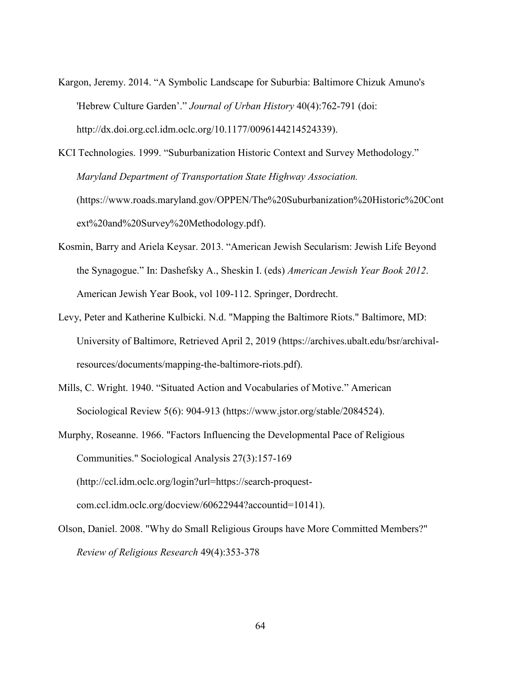Kargon, Jeremy. 2014. "A Symbolic Landscape for Suburbia: Baltimore Chizuk Amuno's 'Hebrew Culture Garden'." *Journal of Urban History* 40(4):762-791 (doi: http://dx.doi.org.ccl.idm.oclc.org/10.1177/0096144214524339).

KCI Technologies. 1999. "Suburbanization Historic Context and Survey Methodology." *Maryland Department of Transportation State Highway Association.*  (https://www.roads.maryland.gov/OPPEN/The%20Suburbanization%20Historic%20Cont ext%20and%20Survey%20Methodology.pdf).

- Kosmin, Barry and Ariela Keysar. 2013. "American Jewish Secularism: Jewish Life Beyond the Synagogue." In: Dashefsky A., Sheskin I. (eds) *American Jewish Year Book 2012*. American Jewish Year Book, vol 109-112. Springer, Dordrecht.
- Levy, Peter and Katherine Kulbicki. N.d. "Mapping the Baltimore Riots." Baltimore, MD: University of Baltimore, Retrieved April 2, 2019 (https://archives.ubalt.edu/bsr/archivalresources/documents/mapping-the-baltimore-riots.pdf).
- Mills, C. Wright. 1940. "Situated Action and Vocabularies of Motive." American Sociological Review 5(6): 904-913 (https://www.jstor.org/stable/2084524).
- Murphy, Roseanne. 1966. "Factors Influencing the Developmental Pace of Religious Communities." Sociological Analysis 27(3):157-169 (http://ccl.idm.oclc.org/login?url=https://search-proquestcom.ccl.idm.oclc.org/docview/60622944?accountid=10141).
- Olson, Daniel. 2008. "Why do Small Religious Groups have More Committed Members?" *Review of Religious Research* 49(4):353-378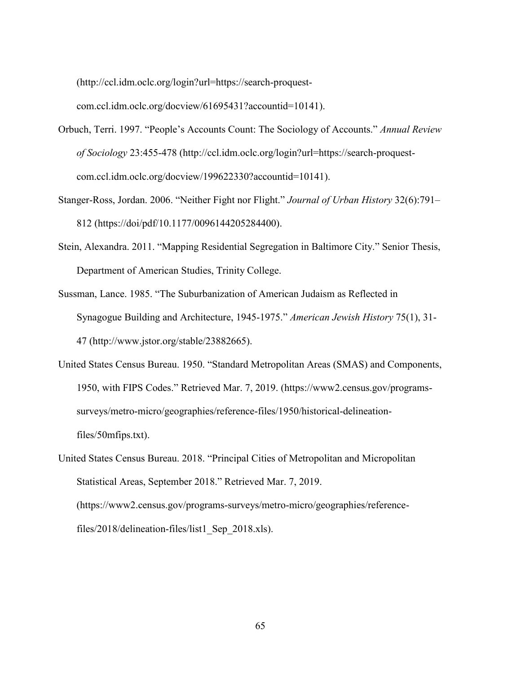(http://ccl.idm.oclc.org/login?url=https://search-proquest-

com.ccl.idm.oclc.org/docview/61695431?accountid=10141).

- Orbuch, Terri. 1997. "People's Accounts Count: The Sociology of Accounts." *Annual Review of Sociology* 23:455-478 (http://ccl.idm.oclc.org/login?url=https://search-proquestcom.ccl.idm.oclc.org/docview/199622330?accountid=10141).
- Stanger-Ross, Jordan. 2006. "Neither Fight nor Flight." *Journal of Urban History* 32(6):791– 812 (https://doi/pdf/10.1177/0096144205284400).
- Stein, Alexandra. 2011. "Mapping Residential Segregation in Baltimore City." Senior Thesis, Department of American Studies, Trinity College.
- Sussman, Lance. 1985. "The Suburbanization of American Judaism as Reflected in Synagogue Building and Architecture, 1945-1975." *American Jewish History* 75(1), 31- 47 (http://www.jstor.org/stable/23882665).
- United States Census Bureau. 1950. "Standard Metropolitan Areas (SMAS) and Components, 1950, with FIPS Codes." Retrieved Mar. 7, 2019. (https://www2.census.gov/programssurveys/metro-micro/geographies/reference-files/1950/historical-delineationfiles/50mfips.txt).

United States Census Bureau. 2018. "Principal Cities of Metropolitan and Micropolitan Statistical Areas, September 2018." Retrieved Mar. 7, 2019. (https://www2.census.gov/programs-surveys/metro-micro/geographies/referencefiles/2018/delineation-files/list1\_Sep\_2018.xls).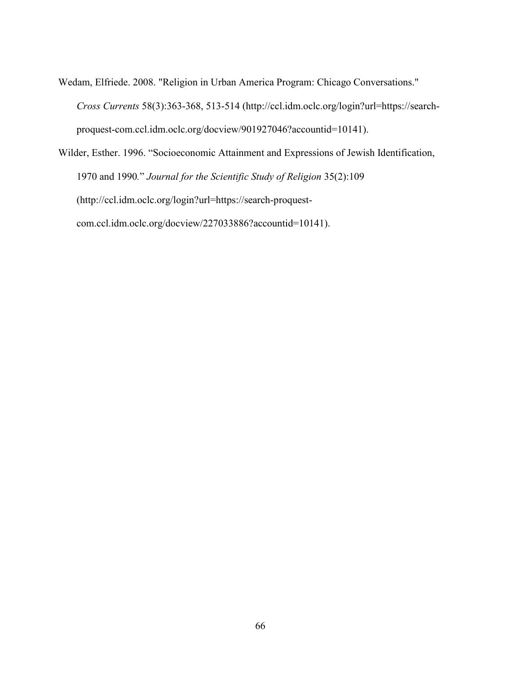Wedam, Elfriede. 2008. "Religion in Urban America Program: Chicago Conversations." *Cross Currents* 58(3):363-368, 513-514 (http://ccl.idm.oclc.org/login?url=https://searchproquest-com.ccl.idm.oclc.org/docview/901927046?accountid=10141).

Wilder, Esther. 1996. "Socioeconomic Attainment and Expressions of Jewish Identification, 1970 and 1990*.*" *Journal for the Scientific Study of Religion* 35(2):109 (http://ccl.idm.oclc.org/login?url=https://search-proquestcom.ccl.idm.oclc.org/docview/227033886?accountid=10141).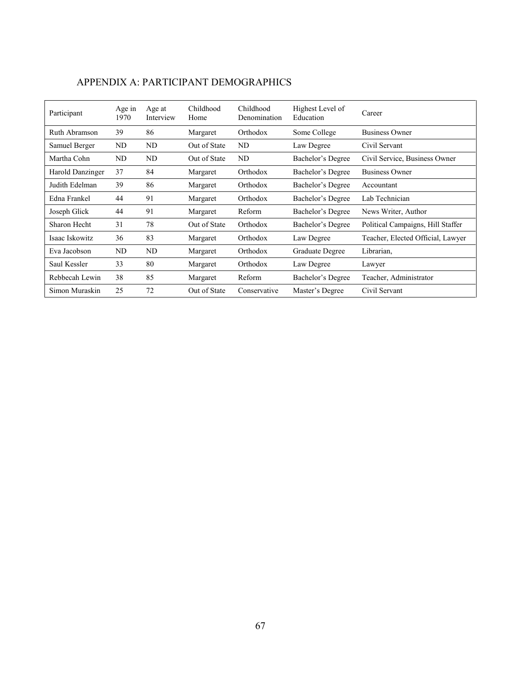| Participant      | Age in<br>1970 | Age at<br>Interview | Childhood<br>Home | Childhood<br>Denomination | Highest Level of<br>Education | Career                            |
|------------------|----------------|---------------------|-------------------|---------------------------|-------------------------------|-----------------------------------|
| Ruth Abramson    | 39             | 86                  | Margaret          | Orthodox                  | Some College                  | <b>Business Owner</b>             |
| Samuel Berger    | ND             | ND                  | Out of State      | ND                        | Law Degree                    | Civil Servant                     |
| Martha Cohn      | ND             | ND                  | Out of State      | ND                        | Bachelor's Degree             | Civil Service, Business Owner     |
| Harold Danzinger | 37             | 84                  | Margaret          | Orthodox                  | Bachelor's Degree             | <b>Business Owner</b>             |
| Judith Edelman   | 39             | 86                  | Margaret          | Orthodox                  | Bachelor's Degree             | Accountant                        |
| Edna Frankel     | 44             | 91                  | Margaret          | Orthodox                  | Bachelor's Degree             | Lab Technician                    |
| Joseph Glick     | 44             | 91                  | Margaret          | Reform                    | Bachelor's Degree             | News Writer, Author               |
| Sharon Hecht     | 31             | 78                  | Out of State      | Orthodox                  | Bachelor's Degree             | Political Campaigns, Hill Staffer |
| Isaac Iskowitz   | 36             | 83                  | Margaret          | Orthodox                  | Law Degree                    | Teacher, Elected Official, Lawyer |
| Eva Jacobson     | ND             | ND                  | Margaret          | Orthodox                  | Graduate Degree               | Librarian,                        |
| Saul Kessler     | 33             | 80                  | Margaret          | Orthodox                  | Law Degree                    | Lawyer                            |
| Rebbecah Lewin   | 38             | 85                  | Margaret          | Reform                    | Bachelor's Degree             | Teacher, Administrator            |
| Simon Muraskin   | 25             | 72                  | Out of State      | Conservative              | Master's Degree               | Civil Servant                     |

# APPENDIX A: PARTICIPANT DEMOGRAPHICS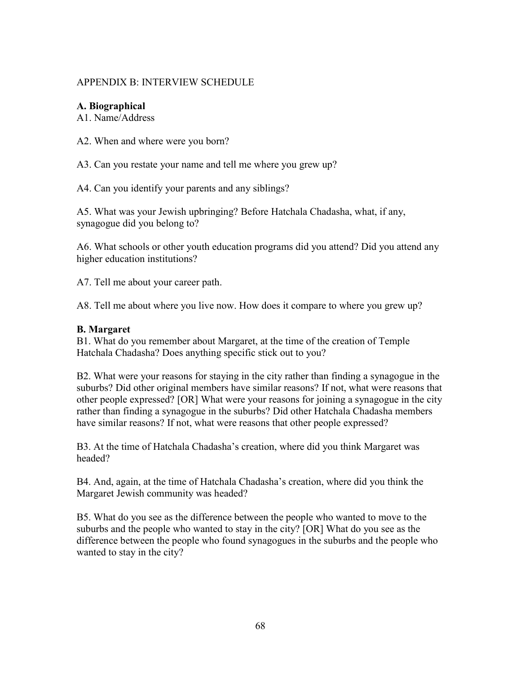## APPENDIX B: INTERVIEW SCHEDULE

# **A. Biographical**

A1. Name/Address

A2. When and where were you born?

A3. Can you restate your name and tell me where you grew up?

A4. Can you identify your parents and any siblings?

A5. What was your Jewish upbringing? Before Hatchala Chadasha, what, if any, synagogue did you belong to?

A6. What schools or other youth education programs did you attend? Did you attend any higher education institutions?

A7. Tell me about your career path.

A8. Tell me about where you live now. How does it compare to where you grew up?

# **B. Margaret**

B1. What do you remember about Margaret, at the time of the creation of Temple Hatchala Chadasha? Does anything specific stick out to you?

B2. What were your reasons for staying in the city rather than finding a synagogue in the suburbs? Did other original members have similar reasons? If not, what were reasons that other people expressed? [OR] What were your reasons for joining a synagogue in the city rather than finding a synagogue in the suburbs? Did other Hatchala Chadasha members have similar reasons? If not, what were reasons that other people expressed?

B3. At the time of Hatchala Chadasha's creation, where did you think Margaret was headed?

B4. And, again, at the time of Hatchala Chadasha's creation, where did you think the Margaret Jewish community was headed?

B5. What do you see as the difference between the people who wanted to move to the suburbs and the people who wanted to stay in the city? [OR] What do you see as the difference between the people who found synagogues in the suburbs and the people who wanted to stay in the city?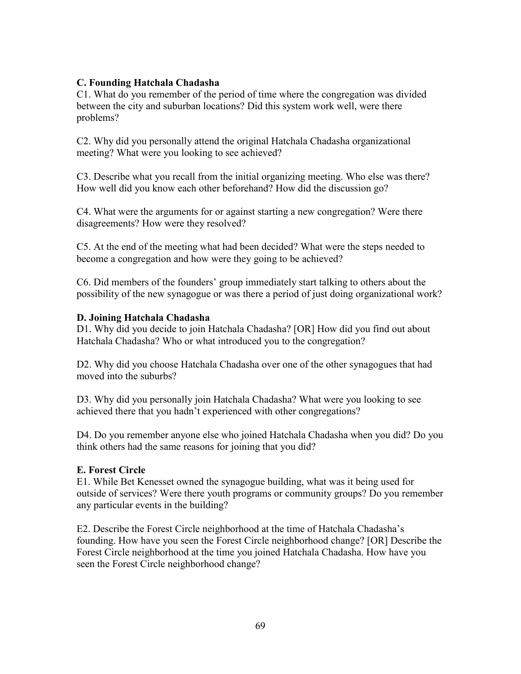## **C. Founding Hatchala Chadasha**

C1. What do you remember of the period of time where the congregation was divided between the city and suburban locations? Did this system work well, were there problems?

C2. Why did you personally attend the original Hatchala Chadasha organizational meeting? What were you looking to see achieved?

C3. Describe what you recall from the initial organizing meeting. Who else was there? How well did you know each other beforehand? How did the discussion go?

C4. What were the arguments for or against starting a new congregation? Were there disagreements? How were they resolved?

C5. At the end of the meeting what had been decided? What were the steps needed to become a congregation and how were they going to be achieved?

C6. Did members of the founders' group immediately start talking to others about the possibility of the new synagogue or was there a period of just doing organizational work?

### **D. Joining Hatchala Chadasha**

D1. Why did you decide to join Hatchala Chadasha? [OR] How did you find out about Hatchala Chadasha? Who or what introduced you to the congregation?

D2. Why did you choose Hatchala Chadasha over one of the other synagogues that had moved into the suburbs?

D3. Why did you personally join Hatchala Chadasha? What were you looking to see achieved there that you hadn't experienced with other congregations?

D4. Do you remember anyone else who joined Hatchala Chadasha when you did? Do you think others had the same reasons for joining that you did?

### **E. Forest Circle**

E1. While Bet Kenesset owned the synagogue building, what was it being used for outside of services? Were there youth programs or community groups? Do you remember any particular events in the building?

E2. Describe the Forest Circle neighborhood at the time of Hatchala Chadasha's founding. How have you seen the Forest Circle neighborhood change? [OR] Describe the Forest Circle neighborhood at the time you joined Hatchala Chadasha. How have you seen the Forest Circle neighborhood change?